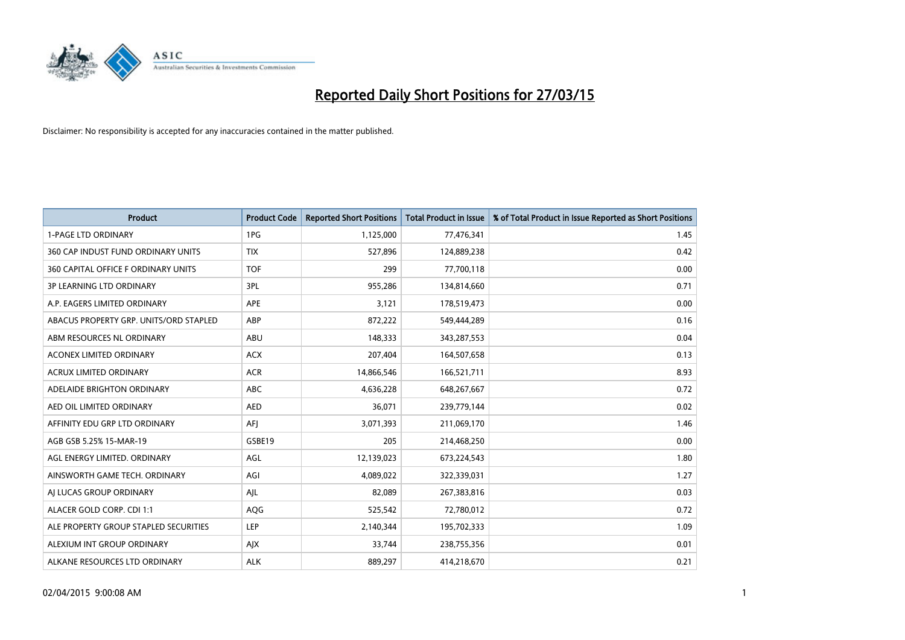

| <b>Product</b>                         | <b>Product Code</b> | <b>Reported Short Positions</b> | <b>Total Product in Issue</b> | % of Total Product in Issue Reported as Short Positions |
|----------------------------------------|---------------------|---------------------------------|-------------------------------|---------------------------------------------------------|
| <b>1-PAGE LTD ORDINARY</b>             | 1PG                 | 1,125,000                       | 77,476,341                    | 1.45                                                    |
| 360 CAP INDUST FUND ORDINARY UNITS     | <b>TIX</b>          | 527,896                         | 124,889,238                   | 0.42                                                    |
| 360 CAPITAL OFFICE F ORDINARY UNITS    | <b>TOF</b>          | 299                             | 77,700,118                    | 0.00                                                    |
| <b>3P LEARNING LTD ORDINARY</b>        | 3PL                 | 955,286                         | 134,814,660                   | 0.71                                                    |
| A.P. EAGERS LIMITED ORDINARY           | <b>APE</b>          | 3,121                           | 178,519,473                   | 0.00                                                    |
| ABACUS PROPERTY GRP. UNITS/ORD STAPLED | ABP                 | 872,222                         | 549,444,289                   | 0.16                                                    |
| ABM RESOURCES NL ORDINARY              | ABU                 | 148,333                         | 343,287,553                   | 0.04                                                    |
| ACONEX LIMITED ORDINARY                | <b>ACX</b>          | 207,404                         | 164,507,658                   | 0.13                                                    |
| <b>ACRUX LIMITED ORDINARY</b>          | <b>ACR</b>          | 14,866,546                      | 166,521,711                   | 8.93                                                    |
| ADELAIDE BRIGHTON ORDINARY             | <b>ABC</b>          | 4,636,228                       | 648,267,667                   | 0.72                                                    |
| AED OIL LIMITED ORDINARY               | <b>AED</b>          | 36,071                          | 239,779,144                   | 0.02                                                    |
| AFFINITY EDU GRP LTD ORDINARY          | AFJ                 | 3,071,393                       | 211,069,170                   | 1.46                                                    |
| AGB GSB 5.25% 15-MAR-19                | GSBE19              | 205                             | 214,468,250                   | 0.00                                                    |
| AGL ENERGY LIMITED. ORDINARY           | AGL                 | 12,139,023                      | 673,224,543                   | 1.80                                                    |
| AINSWORTH GAME TECH. ORDINARY          | AGI                 | 4,089,022                       | 322,339,031                   | 1.27                                                    |
| AI LUCAS GROUP ORDINARY                | AJL                 | 82,089                          | 267,383,816                   | 0.03                                                    |
| ALACER GOLD CORP. CDI 1:1              | AQG                 | 525,542                         | 72,780,012                    | 0.72                                                    |
| ALE PROPERTY GROUP STAPLED SECURITIES  | LEP                 | 2,140,344                       | 195,702,333                   | 1.09                                                    |
| ALEXIUM INT GROUP ORDINARY             | AJX                 | 33,744                          | 238,755,356                   | 0.01                                                    |
| ALKANE RESOURCES LTD ORDINARY          | <b>ALK</b>          | 889,297                         | 414,218,670                   | 0.21                                                    |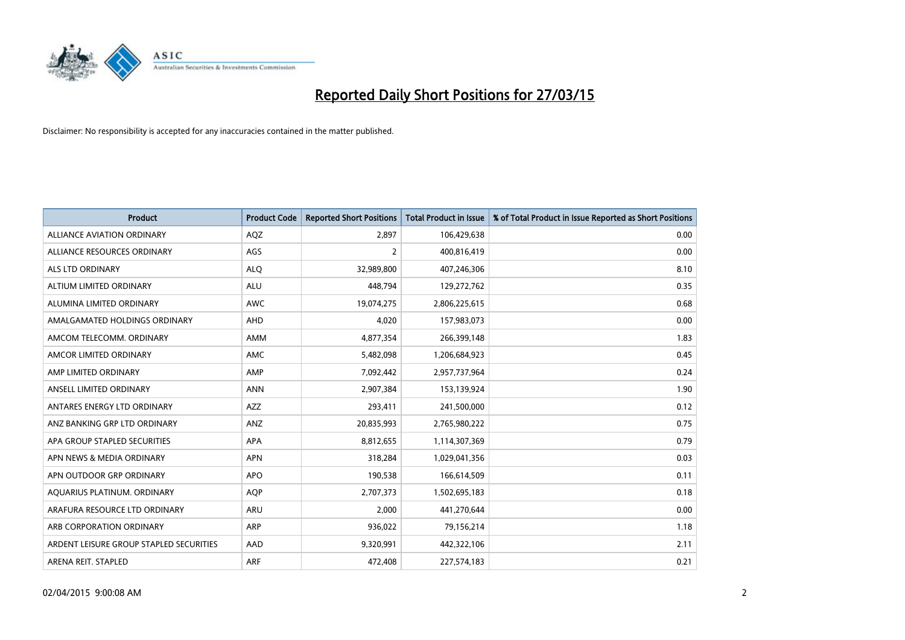

| <b>Product</b>                          | <b>Product Code</b> | <b>Reported Short Positions</b> | <b>Total Product in Issue</b> | % of Total Product in Issue Reported as Short Positions |
|-----------------------------------------|---------------------|---------------------------------|-------------------------------|---------------------------------------------------------|
| <b>ALLIANCE AVIATION ORDINARY</b>       | AQZ                 | 2,897                           | 106,429,638                   | 0.00                                                    |
| ALLIANCE RESOURCES ORDINARY             | AGS                 | $\overline{2}$                  | 400,816,419                   | 0.00                                                    |
| ALS LTD ORDINARY                        | <b>ALQ</b>          | 32,989,800                      | 407,246,306                   | 8.10                                                    |
| ALTIUM LIMITED ORDINARY                 | <b>ALU</b>          | 448,794                         | 129,272,762                   | 0.35                                                    |
| ALUMINA LIMITED ORDINARY                | <b>AWC</b>          | 19,074,275                      | 2,806,225,615                 | 0.68                                                    |
| AMALGAMATED HOLDINGS ORDINARY           | AHD                 | 4,020                           | 157,983,073                   | 0.00                                                    |
| AMCOM TELECOMM, ORDINARY                | AMM                 | 4,877,354                       | 266,399,148                   | 1.83                                                    |
| AMCOR LIMITED ORDINARY                  | AMC                 | 5,482,098                       | 1,206,684,923                 | 0.45                                                    |
| AMP LIMITED ORDINARY                    | AMP                 | 7,092,442                       | 2,957,737,964                 | 0.24                                                    |
| ANSELL LIMITED ORDINARY                 | <b>ANN</b>          | 2,907,384                       | 153,139,924                   | 1.90                                                    |
| ANTARES ENERGY LTD ORDINARY             | AZZ                 | 293,411                         | 241,500,000                   | 0.12                                                    |
| ANZ BANKING GRP LTD ORDINARY            | ANZ                 | 20,835,993                      | 2,765,980,222                 | 0.75                                                    |
| APA GROUP STAPLED SECURITIES            | <b>APA</b>          | 8,812,655                       | 1,114,307,369                 | 0.79                                                    |
| APN NEWS & MEDIA ORDINARY               | <b>APN</b>          | 318,284                         | 1,029,041,356                 | 0.03                                                    |
| APN OUTDOOR GRP ORDINARY                | <b>APO</b>          | 190,538                         | 166,614,509                   | 0.11                                                    |
| AQUARIUS PLATINUM. ORDINARY             | <b>AQP</b>          | 2,707,373                       | 1,502,695,183                 | 0.18                                                    |
| ARAFURA RESOURCE LTD ORDINARY           | ARU                 | 2,000                           | 441,270,644                   | 0.00                                                    |
| ARB CORPORATION ORDINARY                | ARP                 | 936,022                         | 79,156,214                    | 1.18                                                    |
| ARDENT LEISURE GROUP STAPLED SECURITIES | AAD                 | 9,320,991                       | 442,322,106                   | 2.11                                                    |
| ARENA REIT. STAPLED                     | <b>ARF</b>          | 472,408                         | 227,574,183                   | 0.21                                                    |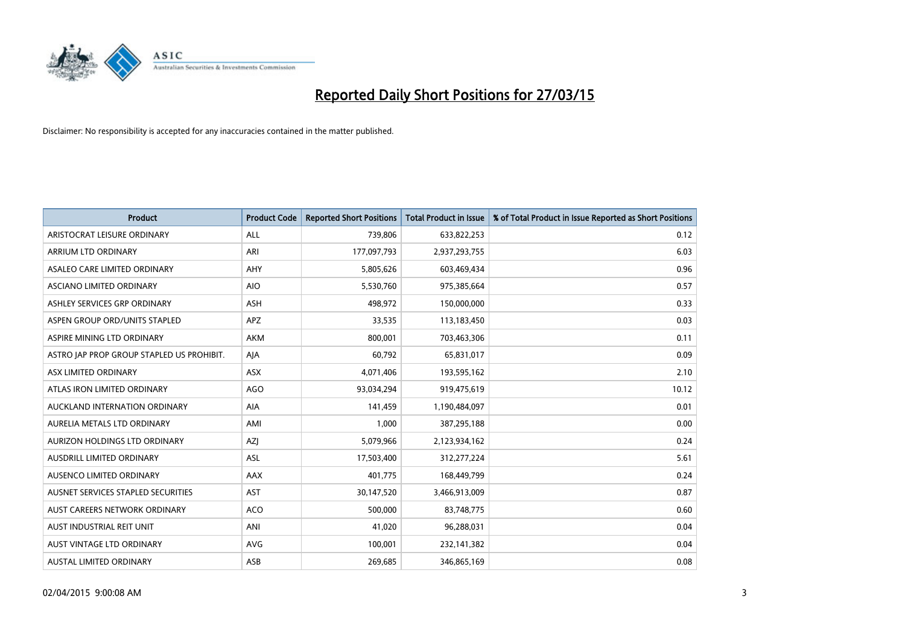

| <b>Product</b>                            | <b>Product Code</b> | <b>Reported Short Positions</b> | <b>Total Product in Issue</b> | % of Total Product in Issue Reported as Short Positions |
|-------------------------------------------|---------------------|---------------------------------|-------------------------------|---------------------------------------------------------|
| ARISTOCRAT LEISURE ORDINARY               | ALL                 | 739,806                         | 633,822,253                   | 0.12                                                    |
| ARRIUM LTD ORDINARY                       | ARI                 | 177,097,793                     | 2,937,293,755                 | 6.03                                                    |
| ASALEO CARE LIMITED ORDINARY              | AHY                 | 5,805,626                       | 603,469,434                   | 0.96                                                    |
| ASCIANO LIMITED ORDINARY                  | <b>AIO</b>          | 5,530,760                       | 975,385,664                   | 0.57                                                    |
| ASHLEY SERVICES GRP ORDINARY              | <b>ASH</b>          | 498,972                         | 150,000,000                   | 0.33                                                    |
| ASPEN GROUP ORD/UNITS STAPLED             | APZ                 | 33,535                          | 113,183,450                   | 0.03                                                    |
| ASPIRE MINING LTD ORDINARY                | AKM                 | 800,001                         | 703,463,306                   | 0.11                                                    |
| ASTRO JAP PROP GROUP STAPLED US PROHIBIT. | AJA                 | 60,792                          | 65,831,017                    | 0.09                                                    |
| ASX LIMITED ORDINARY                      | ASX                 | 4,071,406                       | 193,595,162                   | 2.10                                                    |
| ATLAS IRON LIMITED ORDINARY               | AGO                 | 93,034,294                      | 919,475,619                   | 10.12                                                   |
| AUCKLAND INTERNATION ORDINARY             | AIA                 | 141,459                         | 1,190,484,097                 | 0.01                                                    |
| AURELIA METALS LTD ORDINARY               | AMI                 | 1,000                           | 387,295,188                   | 0.00                                                    |
| AURIZON HOLDINGS LTD ORDINARY             | AZJ                 | 5,079,966                       | 2,123,934,162                 | 0.24                                                    |
| AUSDRILL LIMITED ORDINARY                 | ASL                 | 17,503,400                      | 312,277,224                   | 5.61                                                    |
| AUSENCO LIMITED ORDINARY                  | AAX                 | 401,775                         | 168,449,799                   | 0.24                                                    |
| AUSNET SERVICES STAPLED SECURITIES        | <b>AST</b>          | 30,147,520                      | 3,466,913,009                 | 0.87                                                    |
| AUST CAREERS NETWORK ORDINARY             | <b>ACO</b>          | 500,000                         | 83,748,775                    | 0.60                                                    |
| AUST INDUSTRIAL REIT UNIT                 | ANI                 | 41,020                          | 96,288,031                    | 0.04                                                    |
| <b>AUST VINTAGE LTD ORDINARY</b>          | <b>AVG</b>          | 100,001                         | 232,141,382                   | 0.04                                                    |
| <b>AUSTAL LIMITED ORDINARY</b>            | ASB                 | 269,685                         | 346,865,169                   | 0.08                                                    |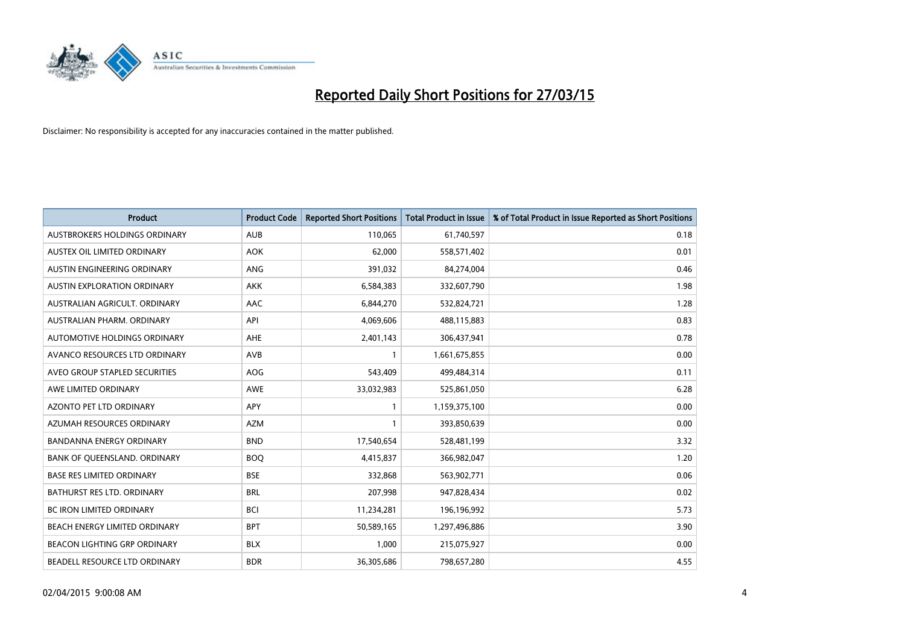

| <b>Product</b>                      | <b>Product Code</b> | <b>Reported Short Positions</b> | <b>Total Product in Issue</b> | % of Total Product in Issue Reported as Short Positions |
|-------------------------------------|---------------------|---------------------------------|-------------------------------|---------------------------------------------------------|
| AUSTBROKERS HOLDINGS ORDINARY       | <b>AUB</b>          | 110,065                         | 61,740,597                    | 0.18                                                    |
| AUSTEX OIL LIMITED ORDINARY         | <b>AOK</b>          | 62,000                          | 558,571,402                   | 0.01                                                    |
| AUSTIN ENGINEERING ORDINARY         | <b>ANG</b>          | 391,032                         | 84,274,004                    | 0.46                                                    |
| AUSTIN EXPLORATION ORDINARY         | <b>AKK</b>          | 6,584,383                       | 332,607,790                   | 1.98                                                    |
| AUSTRALIAN AGRICULT, ORDINARY       | AAC                 | 6,844,270                       | 532,824,721                   | 1.28                                                    |
| AUSTRALIAN PHARM, ORDINARY          | API                 | 4,069,606                       | 488,115,883                   | 0.83                                                    |
| AUTOMOTIVE HOLDINGS ORDINARY        | AHE                 | 2,401,143                       | 306,437,941                   | 0.78                                                    |
| AVANCO RESOURCES LTD ORDINARY       | AVB                 | $\mathbf{1}$                    | 1,661,675,855                 | 0.00                                                    |
| AVEO GROUP STAPLED SECURITIES       | <b>AOG</b>          | 543,409                         | 499,484,314                   | 0.11                                                    |
| AWE LIMITED ORDINARY                | <b>AWE</b>          | 33,032,983                      | 525,861,050                   | 6.28                                                    |
| AZONTO PET LTD ORDINARY             | APY                 | $\mathbf{1}$                    | 1,159,375,100                 | 0.00                                                    |
| AZUMAH RESOURCES ORDINARY           | AZM                 | $\mathbf{1}$                    | 393,850,639                   | 0.00                                                    |
| <b>BANDANNA ENERGY ORDINARY</b>     | <b>BND</b>          | 17,540,654                      | 528,481,199                   | 3.32                                                    |
| BANK OF QUEENSLAND. ORDINARY        | <b>BOO</b>          | 4,415,837                       | 366,982,047                   | 1.20                                                    |
| <b>BASE RES LIMITED ORDINARY</b>    | <b>BSE</b>          | 332,868                         | 563,902,771                   | 0.06                                                    |
| BATHURST RES LTD. ORDINARY          | <b>BRL</b>          | 207,998                         | 947,828,434                   | 0.02                                                    |
| BC IRON LIMITED ORDINARY            | <b>BCI</b>          | 11,234,281                      | 196,196,992                   | 5.73                                                    |
| BEACH ENERGY LIMITED ORDINARY       | <b>BPT</b>          | 50,589,165                      | 1,297,496,886                 | 3.90                                                    |
| <b>BEACON LIGHTING GRP ORDINARY</b> | <b>BLX</b>          | 1,000                           | 215,075,927                   | 0.00                                                    |
| BEADELL RESOURCE LTD ORDINARY       | <b>BDR</b>          | 36,305,686                      | 798,657,280                   | 4.55                                                    |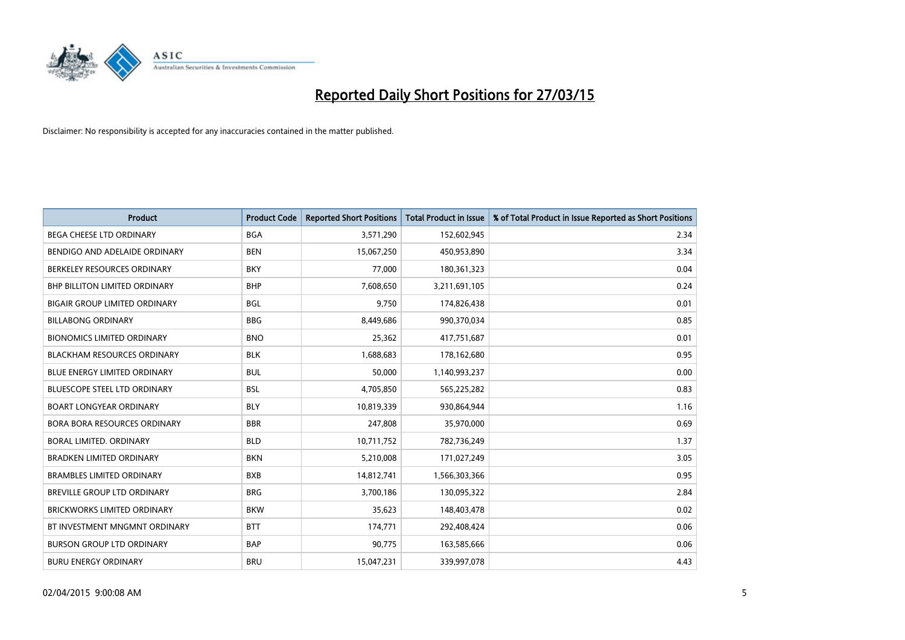

| <b>Product</b>                       | <b>Product Code</b> | <b>Reported Short Positions</b> | <b>Total Product in Issue</b> | % of Total Product in Issue Reported as Short Positions |
|--------------------------------------|---------------------|---------------------------------|-------------------------------|---------------------------------------------------------|
| <b>BEGA CHEESE LTD ORDINARY</b>      | <b>BGA</b>          | 3,571,290                       | 152,602,945                   | 2.34                                                    |
| BENDIGO AND ADELAIDE ORDINARY        | <b>BEN</b>          | 15,067,250                      | 450,953,890                   | 3.34                                                    |
| BERKELEY RESOURCES ORDINARY          | <b>BKY</b>          | 77,000                          | 180,361,323                   | 0.04                                                    |
| <b>BHP BILLITON LIMITED ORDINARY</b> | <b>BHP</b>          | 7,608,650                       | 3,211,691,105                 | 0.24                                                    |
| <b>BIGAIR GROUP LIMITED ORDINARY</b> | <b>BGL</b>          | 9,750                           | 174,826,438                   | 0.01                                                    |
| <b>BILLABONG ORDINARY</b>            | <b>BBG</b>          | 8,449,686                       | 990,370,034                   | 0.85                                                    |
| <b>BIONOMICS LIMITED ORDINARY</b>    | <b>BNO</b>          | 25,362                          | 417,751,687                   | 0.01                                                    |
| <b>BLACKHAM RESOURCES ORDINARY</b>   | <b>BLK</b>          | 1,688,683                       | 178,162,680                   | 0.95                                                    |
| <b>BLUE ENERGY LIMITED ORDINARY</b>  | <b>BUL</b>          | 50.000                          | 1,140,993,237                 | 0.00                                                    |
| <b>BLUESCOPE STEEL LTD ORDINARY</b>  | <b>BSL</b>          | 4,705,850                       | 565,225,282                   | 0.83                                                    |
| <b>BOART LONGYEAR ORDINARY</b>       | <b>BLY</b>          | 10,819,339                      | 930,864,944                   | 1.16                                                    |
| BORA BORA RESOURCES ORDINARY         | <b>BBR</b>          | 247,808                         | 35,970,000                    | 0.69                                                    |
| <b>BORAL LIMITED, ORDINARY</b>       | <b>BLD</b>          | 10,711,752                      | 782,736,249                   | 1.37                                                    |
| <b>BRADKEN LIMITED ORDINARY</b>      | <b>BKN</b>          | 5,210,008                       | 171,027,249                   | 3.05                                                    |
| <b>BRAMBLES LIMITED ORDINARY</b>     | <b>BXB</b>          | 14,812,741                      | 1,566,303,366                 | 0.95                                                    |
| BREVILLE GROUP LTD ORDINARY          | <b>BRG</b>          | 3,700,186                       | 130,095,322                   | 2.84                                                    |
| BRICKWORKS LIMITED ORDINARY          | <b>BKW</b>          | 35,623                          | 148,403,478                   | 0.02                                                    |
| BT INVESTMENT MNGMNT ORDINARY        | <b>BTT</b>          | 174,771                         | 292,408,424                   | 0.06                                                    |
| <b>BURSON GROUP LTD ORDINARY</b>     | <b>BAP</b>          | 90,775                          | 163,585,666                   | 0.06                                                    |
| <b>BURU ENERGY ORDINARY</b>          | <b>BRU</b>          | 15,047,231                      | 339,997,078                   | 4.43                                                    |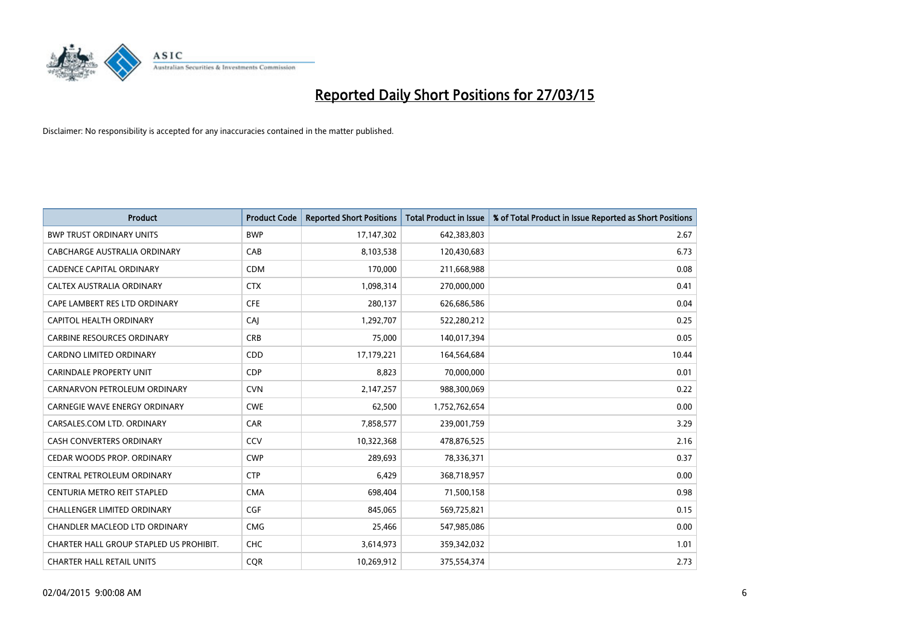

| <b>Product</b>                          | <b>Product Code</b> | <b>Reported Short Positions</b> | <b>Total Product in Issue</b> | % of Total Product in Issue Reported as Short Positions |
|-----------------------------------------|---------------------|---------------------------------|-------------------------------|---------------------------------------------------------|
| <b>BWP TRUST ORDINARY UNITS</b>         | <b>BWP</b>          | 17,147,302                      | 642,383,803                   | 2.67                                                    |
| CABCHARGE AUSTRALIA ORDINARY            | CAB                 | 8,103,538                       | 120,430,683                   | 6.73                                                    |
| <b>CADENCE CAPITAL ORDINARY</b>         | <b>CDM</b>          | 170,000                         | 211,668,988                   | 0.08                                                    |
| CALTEX AUSTRALIA ORDINARY               | <b>CTX</b>          | 1,098,314                       | 270,000,000                   | 0.41                                                    |
| CAPE LAMBERT RES LTD ORDINARY           | <b>CFE</b>          | 280,137                         | 626,686,586                   | 0.04                                                    |
| <b>CAPITOL HEALTH ORDINARY</b>          | CAJ                 | 1,292,707                       | 522,280,212                   | 0.25                                                    |
| <b>CARBINE RESOURCES ORDINARY</b>       | <b>CRB</b>          | 75,000                          | 140,017,394                   | 0.05                                                    |
| CARDNO LIMITED ORDINARY                 | CDD                 | 17,179,221                      | 164,564,684                   | 10.44                                                   |
| <b>CARINDALE PROPERTY UNIT</b>          | <b>CDP</b>          | 8,823                           | 70,000,000                    | 0.01                                                    |
| CARNARVON PETROLEUM ORDINARY            | <b>CVN</b>          | 2,147,257                       | 988,300,069                   | 0.22                                                    |
| CARNEGIE WAVE ENERGY ORDINARY           | <b>CWE</b>          | 62,500                          | 1,752,762,654                 | 0.00                                                    |
| CARSALES.COM LTD. ORDINARY              | <b>CAR</b>          | 7,858,577                       | 239,001,759                   | 3.29                                                    |
| CASH CONVERTERS ORDINARY                | CCV                 | 10,322,368                      | 478,876,525                   | 2.16                                                    |
| CEDAR WOODS PROP. ORDINARY              | <b>CWP</b>          | 289,693                         | 78,336,371                    | 0.37                                                    |
| CENTRAL PETROLEUM ORDINARY              | <b>CTP</b>          | 6,429                           | 368,718,957                   | 0.00                                                    |
| CENTURIA METRO REIT STAPLED             | <b>CMA</b>          | 698,404                         | 71,500,158                    | 0.98                                                    |
| CHALLENGER LIMITED ORDINARY             | <b>CGF</b>          | 845,065                         | 569,725,821                   | 0.15                                                    |
| CHANDLER MACLEOD LTD ORDINARY           | <b>CMG</b>          | 25,466                          | 547,985,086                   | 0.00                                                    |
| CHARTER HALL GROUP STAPLED US PROHIBIT. | <b>CHC</b>          | 3,614,973                       | 359,342,032                   | 1.01                                                    |
| <b>CHARTER HALL RETAIL UNITS</b>        | <b>COR</b>          | 10,269,912                      | 375,554,374                   | 2.73                                                    |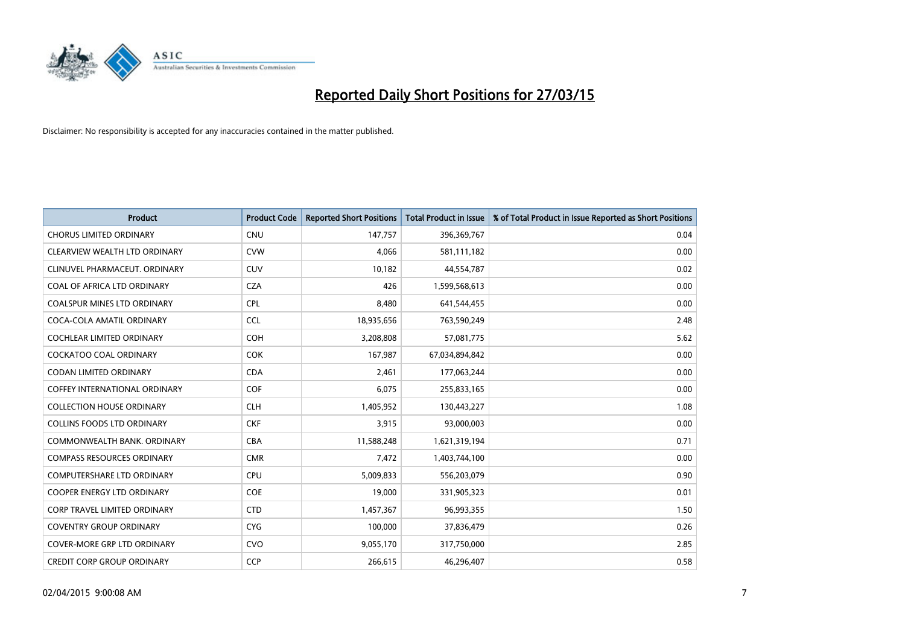

| <b>Product</b>                       | <b>Product Code</b> | <b>Reported Short Positions</b> | <b>Total Product in Issue</b> | % of Total Product in Issue Reported as Short Positions |
|--------------------------------------|---------------------|---------------------------------|-------------------------------|---------------------------------------------------------|
| <b>CHORUS LIMITED ORDINARY</b>       | <b>CNU</b>          | 147,757                         | 396,369,767                   | 0.04                                                    |
| CLEARVIEW WEALTH LTD ORDINARY        | <b>CVW</b>          | 4,066                           | 581,111,182                   | 0.00                                                    |
| CLINUVEL PHARMACEUT, ORDINARY        | <b>CUV</b>          | 10,182                          | 44,554,787                    | 0.02                                                    |
| COAL OF AFRICA LTD ORDINARY          | <b>CZA</b>          | 426                             | 1,599,568,613                 | 0.00                                                    |
| <b>COALSPUR MINES LTD ORDINARY</b>   | <b>CPL</b>          | 8,480                           | 641,544,455                   | 0.00                                                    |
| COCA-COLA AMATIL ORDINARY            | <b>CCL</b>          | 18,935,656                      | 763,590,249                   | 2.48                                                    |
| <b>COCHLEAR LIMITED ORDINARY</b>     | <b>COH</b>          | 3,208,808                       | 57,081,775                    | 5.62                                                    |
| COCKATOO COAL ORDINARY               | <b>COK</b>          | 167,987                         | 67,034,894,842                | 0.00                                                    |
| <b>CODAN LIMITED ORDINARY</b>        | <b>CDA</b>          | 2,461                           | 177,063,244                   | 0.00                                                    |
| <b>COFFEY INTERNATIONAL ORDINARY</b> | <b>COF</b>          | 6,075                           | 255,833,165                   | 0.00                                                    |
| <b>COLLECTION HOUSE ORDINARY</b>     | <b>CLH</b>          | 1,405,952                       | 130,443,227                   | 1.08                                                    |
| <b>COLLINS FOODS LTD ORDINARY</b>    | <b>CKF</b>          | 3,915                           | 93,000,003                    | 0.00                                                    |
| COMMONWEALTH BANK, ORDINARY          | <b>CBA</b>          | 11,588,248                      | 1,621,319,194                 | 0.71                                                    |
| <b>COMPASS RESOURCES ORDINARY</b>    | <b>CMR</b>          | 7,472                           | 1,403,744,100                 | 0.00                                                    |
| <b>COMPUTERSHARE LTD ORDINARY</b>    | <b>CPU</b>          | 5,009,833                       | 556,203,079                   | 0.90                                                    |
| COOPER ENERGY LTD ORDINARY           | <b>COE</b>          | 19,000                          | 331,905,323                   | 0.01                                                    |
| CORP TRAVEL LIMITED ORDINARY         | <b>CTD</b>          | 1,457,367                       | 96,993,355                    | 1.50                                                    |
| <b>COVENTRY GROUP ORDINARY</b>       | <b>CYG</b>          | 100,000                         | 37,836,479                    | 0.26                                                    |
| <b>COVER-MORE GRP LTD ORDINARY</b>   | <b>CVO</b>          | 9,055,170                       | 317,750,000                   | 2.85                                                    |
| CREDIT CORP GROUP ORDINARY           | <b>CCP</b>          | 266,615                         | 46,296,407                    | 0.58                                                    |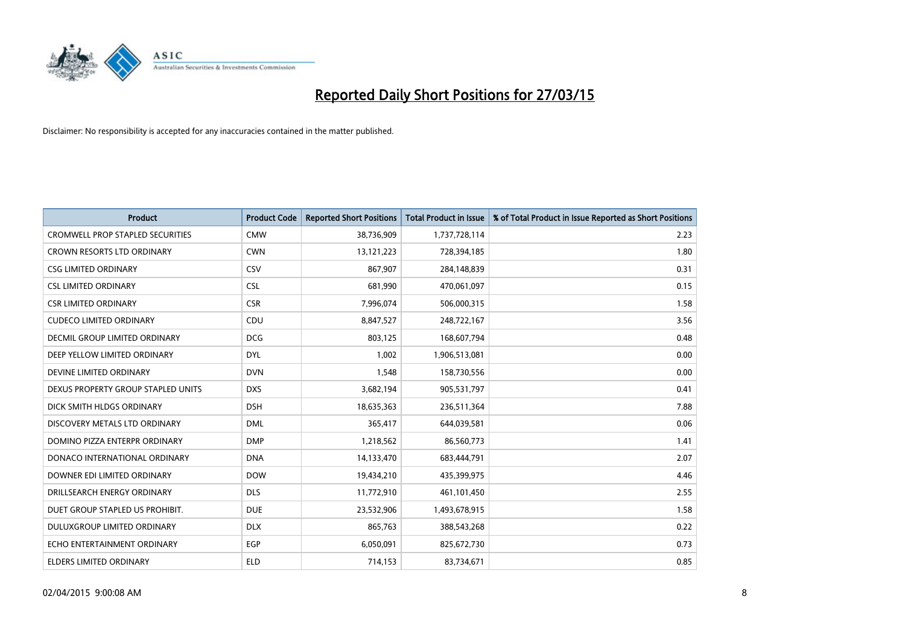

| <b>Product</b>                          | <b>Product Code</b> | <b>Reported Short Positions</b> | <b>Total Product in Issue</b> | % of Total Product in Issue Reported as Short Positions |
|-----------------------------------------|---------------------|---------------------------------|-------------------------------|---------------------------------------------------------|
| <b>CROMWELL PROP STAPLED SECURITIES</b> | <b>CMW</b>          | 38,736,909                      | 1,737,728,114                 | 2.23                                                    |
| CROWN RESORTS LTD ORDINARY              | <b>CWN</b>          | 13,121,223                      | 728,394,185                   | 1.80                                                    |
| <b>CSG LIMITED ORDINARY</b>             | CSV                 | 867,907                         | 284,148,839                   | 0.31                                                    |
| <b>CSL LIMITED ORDINARY</b>             | <b>CSL</b>          | 681,990                         | 470,061,097                   | 0.15                                                    |
| <b>CSR LIMITED ORDINARY</b>             | <b>CSR</b>          | 7,996,074                       | 506,000,315                   | 1.58                                                    |
| <b>CUDECO LIMITED ORDINARY</b>          | CDU                 | 8,847,527                       | 248,722,167                   | 3.56                                                    |
| DECMIL GROUP LIMITED ORDINARY           | <b>DCG</b>          | 803,125                         | 168,607,794                   | 0.48                                                    |
| DEEP YELLOW LIMITED ORDINARY            | <b>DYL</b>          | 1,002                           | 1,906,513,081                 | 0.00                                                    |
| DEVINE LIMITED ORDINARY                 | <b>DVN</b>          | 1,548                           | 158,730,556                   | 0.00                                                    |
| DEXUS PROPERTY GROUP STAPLED UNITS      | <b>DXS</b>          | 3,682,194                       | 905,531,797                   | 0.41                                                    |
| DICK SMITH HLDGS ORDINARY               | <b>DSH</b>          | 18,635,363                      | 236,511,364                   | 7.88                                                    |
| DISCOVERY METALS LTD ORDINARY           | <b>DML</b>          | 365,417                         | 644,039,581                   | 0.06                                                    |
| DOMINO PIZZA ENTERPR ORDINARY           | <b>DMP</b>          | 1,218,562                       | 86,560,773                    | 1.41                                                    |
| DONACO INTERNATIONAL ORDINARY           | <b>DNA</b>          | 14,133,470                      | 683,444,791                   | 2.07                                                    |
| DOWNER EDI LIMITED ORDINARY             | <b>DOW</b>          | 19,434,210                      | 435,399,975                   | 4.46                                                    |
| DRILLSEARCH ENERGY ORDINARY             | <b>DLS</b>          | 11,772,910                      | 461,101,450                   | 2.55                                                    |
| DUET GROUP STAPLED US PROHIBIT.         | <b>DUE</b>          | 23,532,906                      | 1,493,678,915                 | 1.58                                                    |
| DULUXGROUP LIMITED ORDINARY             | <b>DLX</b>          | 865,763                         | 388,543,268                   | 0.22                                                    |
| ECHO ENTERTAINMENT ORDINARY             | <b>EGP</b>          | 6,050,091                       | 825,672,730                   | 0.73                                                    |
| ELDERS LIMITED ORDINARY                 | <b>ELD</b>          | 714,153                         | 83,734,671                    | 0.85                                                    |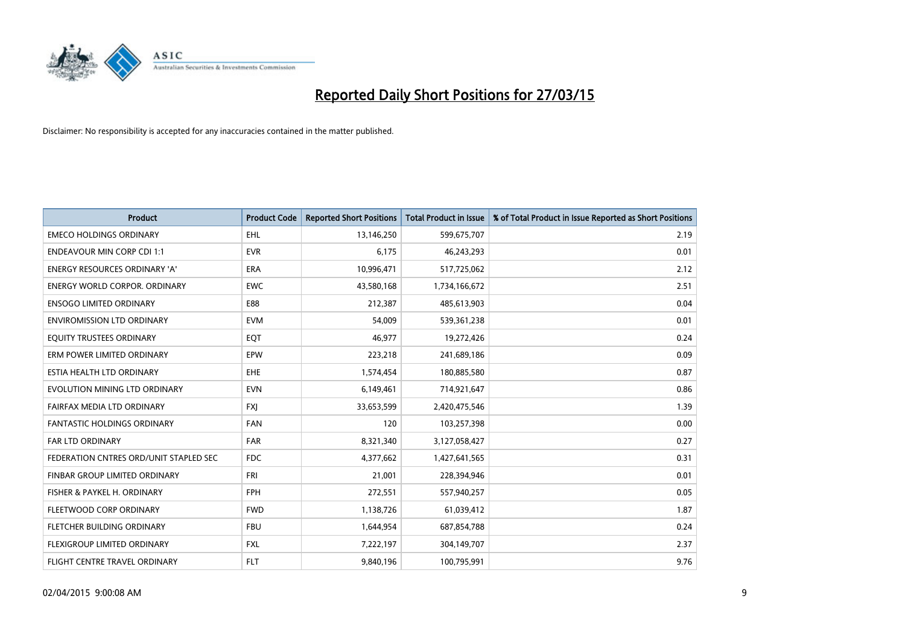

| <b>Product</b>                         | <b>Product Code</b> | <b>Reported Short Positions</b> | <b>Total Product in Issue</b> | % of Total Product in Issue Reported as Short Positions |
|----------------------------------------|---------------------|---------------------------------|-------------------------------|---------------------------------------------------------|
| <b>EMECO HOLDINGS ORDINARY</b>         | <b>EHL</b>          | 13,146,250                      | 599,675,707                   | 2.19                                                    |
| <b>ENDEAVOUR MIN CORP CDI 1:1</b>      | <b>EVR</b>          | 6,175                           | 46,243,293                    | 0.01                                                    |
| <b>ENERGY RESOURCES ORDINARY 'A'</b>   | <b>ERA</b>          | 10,996,471                      | 517,725,062                   | 2.12                                                    |
| ENERGY WORLD CORPOR. ORDINARY          | <b>EWC</b>          | 43,580,168                      | 1,734,166,672                 | 2.51                                                    |
| <b>ENSOGO LIMITED ORDINARY</b>         | E88                 | 212,387                         | 485,613,903                   | 0.04                                                    |
| <b>ENVIROMISSION LTD ORDINARY</b>      | <b>EVM</b>          | 54,009                          | 539,361,238                   | 0.01                                                    |
| EQUITY TRUSTEES ORDINARY               | EQT                 | 46,977                          | 19,272,426                    | 0.24                                                    |
| ERM POWER LIMITED ORDINARY             | EPW                 | 223,218                         | 241,689,186                   | 0.09                                                    |
| ESTIA HEALTH LTD ORDINARY              | <b>EHE</b>          | 1,574,454                       | 180,885,580                   | 0.87                                                    |
| EVOLUTION MINING LTD ORDINARY          | <b>EVN</b>          | 6,149,461                       | 714,921,647                   | 0.86                                                    |
| FAIRFAX MEDIA LTD ORDINARY             | <b>FXI</b>          | 33,653,599                      | 2,420,475,546                 | 1.39                                                    |
| <b>FANTASTIC HOLDINGS ORDINARY</b>     | <b>FAN</b>          | 120                             | 103,257,398                   | 0.00                                                    |
| <b>FAR LTD ORDINARY</b>                | <b>FAR</b>          | 8,321,340                       | 3,127,058,427                 | 0.27                                                    |
| FEDERATION CNTRES ORD/UNIT STAPLED SEC | FDC                 | 4,377,662                       | 1,427,641,565                 | 0.31                                                    |
| FINBAR GROUP LIMITED ORDINARY          | <b>FRI</b>          | 21,001                          | 228,394,946                   | 0.01                                                    |
| FISHER & PAYKEL H. ORDINARY            | <b>FPH</b>          | 272,551                         | 557,940,257                   | 0.05                                                    |
| FLEETWOOD CORP ORDINARY                | <b>FWD</b>          | 1,138,726                       | 61,039,412                    | 1.87                                                    |
| FLETCHER BUILDING ORDINARY             | <b>FBU</b>          | 1,644,954                       | 687,854,788                   | 0.24                                                    |
| FLEXIGROUP LIMITED ORDINARY            | <b>FXL</b>          | 7,222,197                       | 304,149,707                   | 2.37                                                    |
| FLIGHT CENTRE TRAVEL ORDINARY          | <b>FLT</b>          | 9,840,196                       | 100,795,991                   | 9.76                                                    |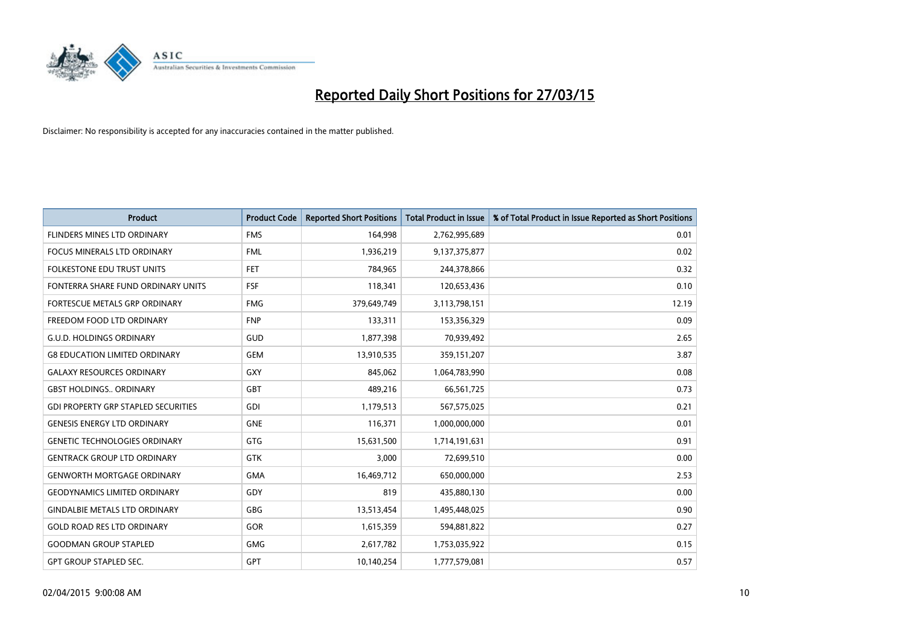

| <b>Product</b>                             | <b>Product Code</b> | <b>Reported Short Positions</b> | <b>Total Product in Issue</b> | % of Total Product in Issue Reported as Short Positions |
|--------------------------------------------|---------------------|---------------------------------|-------------------------------|---------------------------------------------------------|
| FLINDERS MINES LTD ORDINARY                | <b>FMS</b>          | 164,998                         | 2,762,995,689                 | 0.01                                                    |
| FOCUS MINERALS LTD ORDINARY                | <b>FML</b>          | 1,936,219                       | 9,137,375,877                 | 0.02                                                    |
| FOLKESTONE EDU TRUST UNITS                 | <b>FET</b>          | 784,965                         | 244,378,866                   | 0.32                                                    |
| FONTERRA SHARE FUND ORDINARY UNITS         | <b>FSF</b>          | 118,341                         | 120,653,436                   | 0.10                                                    |
| FORTESCUE METALS GRP ORDINARY              | <b>FMG</b>          | 379,649,749                     | 3,113,798,151                 | 12.19                                                   |
| FREEDOM FOOD LTD ORDINARY                  | <b>FNP</b>          | 133,311                         | 153,356,329                   | 0.09                                                    |
| <b>G.U.D. HOLDINGS ORDINARY</b>            | GUD                 | 1,877,398                       | 70,939,492                    | 2.65                                                    |
| <b>G8 EDUCATION LIMITED ORDINARY</b>       | <b>GEM</b>          | 13,910,535                      | 359,151,207                   | 3.87                                                    |
| <b>GALAXY RESOURCES ORDINARY</b>           | GXY                 | 845,062                         | 1,064,783,990                 | 0.08                                                    |
| <b>GBST HOLDINGS., ORDINARY</b>            | <b>GBT</b>          | 489,216                         | 66,561,725                    | 0.73                                                    |
| <b>GDI PROPERTY GRP STAPLED SECURITIES</b> | <b>GDI</b>          | 1,179,513                       | 567,575,025                   | 0.21                                                    |
| <b>GENESIS ENERGY LTD ORDINARY</b>         | <b>GNE</b>          | 116,371                         | 1,000,000,000                 | 0.01                                                    |
| <b>GENETIC TECHNOLOGIES ORDINARY</b>       | GTG                 | 15,631,500                      | 1,714,191,631                 | 0.91                                                    |
| <b>GENTRACK GROUP LTD ORDINARY</b>         | <b>GTK</b>          | 3,000                           | 72,699,510                    | 0.00                                                    |
| <b>GENWORTH MORTGAGE ORDINARY</b>          | <b>GMA</b>          | 16,469,712                      | 650,000,000                   | 2.53                                                    |
| <b>GEODYNAMICS LIMITED ORDINARY</b>        | GDY                 | 819                             | 435,880,130                   | 0.00                                                    |
| <b>GINDALBIE METALS LTD ORDINARY</b>       | GBG                 | 13,513,454                      | 1,495,448,025                 | 0.90                                                    |
| <b>GOLD ROAD RES LTD ORDINARY</b>          | GOR                 | 1,615,359                       | 594,881,822                   | 0.27                                                    |
| <b>GOODMAN GROUP STAPLED</b>               | <b>GMG</b>          | 2,617,782                       | 1,753,035,922                 | 0.15                                                    |
| <b>GPT GROUP STAPLED SEC.</b>              | <b>GPT</b>          | 10,140,254                      | 1,777,579,081                 | 0.57                                                    |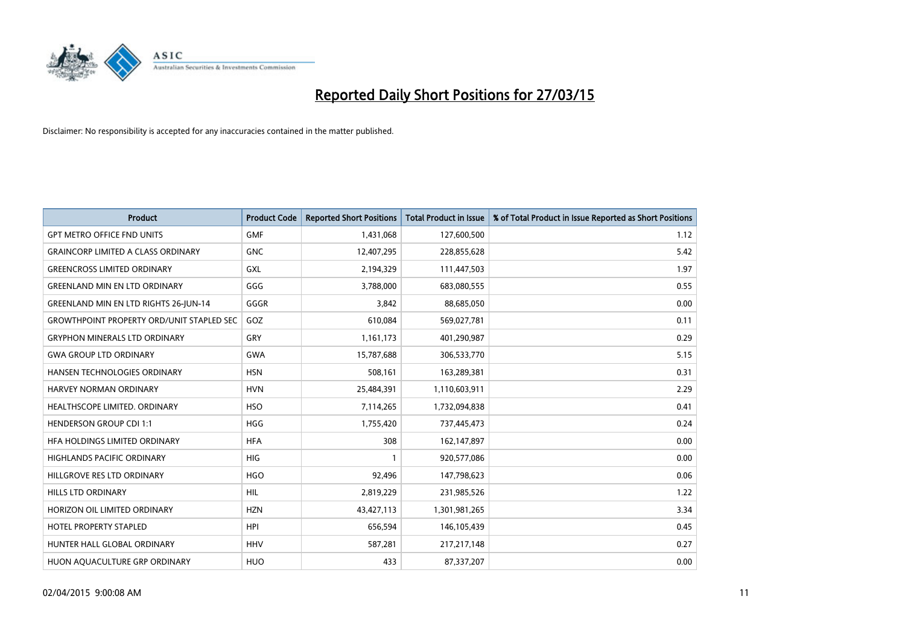

| <b>Product</b>                                   | <b>Product Code</b> | <b>Reported Short Positions</b> | <b>Total Product in Issue</b> | % of Total Product in Issue Reported as Short Positions |
|--------------------------------------------------|---------------------|---------------------------------|-------------------------------|---------------------------------------------------------|
| <b>GPT METRO OFFICE FND UNITS</b>                | <b>GMF</b>          | 1,431,068                       | 127,600,500                   | 1.12                                                    |
| <b>GRAINCORP LIMITED A CLASS ORDINARY</b>        | <b>GNC</b>          | 12,407,295                      | 228,855,628                   | 5.42                                                    |
| <b>GREENCROSS LIMITED ORDINARY</b>               | GXL                 | 2,194,329                       | 111,447,503                   | 1.97                                                    |
| <b>GREENLAND MIN EN LTD ORDINARY</b>             | GGG                 | 3,788,000                       | 683,080,555                   | 0.55                                                    |
| <b>GREENLAND MIN EN LTD RIGHTS 26-JUN-14</b>     | GGGR                | 3,842                           | 88,685,050                    | 0.00                                                    |
| <b>GROWTHPOINT PROPERTY ORD/UNIT STAPLED SEC</b> | GOZ                 | 610,084                         | 569,027,781                   | 0.11                                                    |
| <b>GRYPHON MINERALS LTD ORDINARY</b>             | GRY                 | 1,161,173                       | 401,290,987                   | 0.29                                                    |
| <b>GWA GROUP LTD ORDINARY</b>                    | <b>GWA</b>          | 15,787,688                      | 306,533,770                   | 5.15                                                    |
| HANSEN TECHNOLOGIES ORDINARY                     | <b>HSN</b>          | 508,161                         | 163,289,381                   | 0.31                                                    |
| <b>HARVEY NORMAN ORDINARY</b>                    | <b>HVN</b>          | 25,484,391                      | 1,110,603,911                 | 2.29                                                    |
| HEALTHSCOPE LIMITED. ORDINARY                    | <b>HSO</b>          | 7,114,265                       | 1,732,094,838                 | 0.41                                                    |
| <b>HENDERSON GROUP CDI 1:1</b>                   | <b>HGG</b>          | 1,755,420                       | 737,445,473                   | 0.24                                                    |
| HFA HOLDINGS LIMITED ORDINARY                    | <b>HFA</b>          | 308                             | 162,147,897                   | 0.00                                                    |
| <b>HIGHLANDS PACIFIC ORDINARY</b>                | <b>HIG</b>          | 1                               | 920,577,086                   | 0.00                                                    |
| HILLGROVE RES LTD ORDINARY                       | <b>HGO</b>          | 92,496                          | 147,798,623                   | 0.06                                                    |
| HILLS LTD ORDINARY                               | <b>HIL</b>          | 2,819,229                       | 231,985,526                   | 1.22                                                    |
| HORIZON OIL LIMITED ORDINARY                     | <b>HZN</b>          | 43,427,113                      | 1,301,981,265                 | 3.34                                                    |
| HOTEL PROPERTY STAPLED                           | <b>HPI</b>          | 656,594                         | 146, 105, 439                 | 0.45                                                    |
| HUNTER HALL GLOBAL ORDINARY                      | <b>HHV</b>          | 587,281                         | 217,217,148                   | 0.27                                                    |
| HUON AQUACULTURE GRP ORDINARY                    | <b>HUO</b>          | 433                             | 87,337,207                    | 0.00                                                    |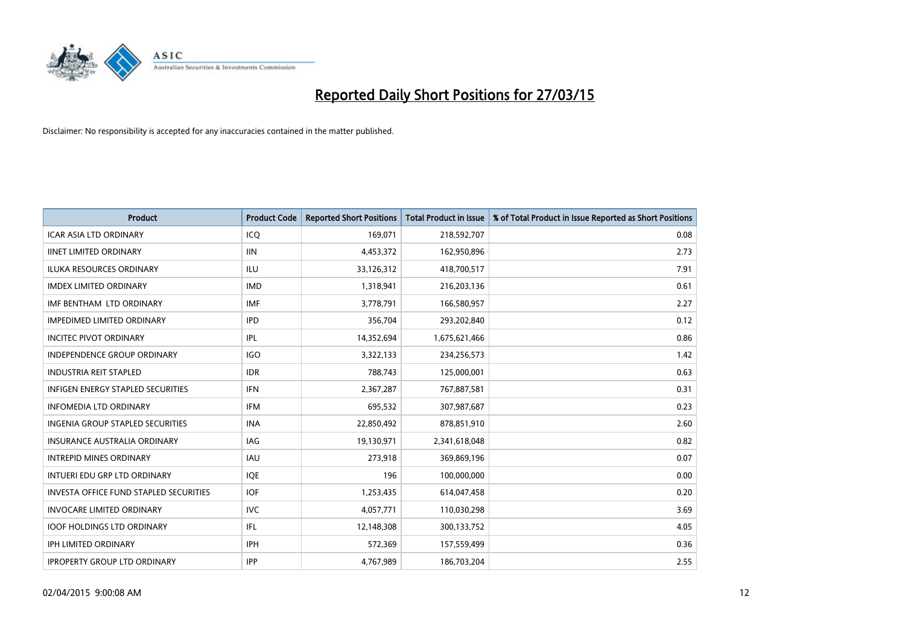

| <b>Product</b>                          | <b>Product Code</b> | <b>Reported Short Positions</b> | <b>Total Product in Issue</b> | % of Total Product in Issue Reported as Short Positions |
|-----------------------------------------|---------------------|---------------------------------|-------------------------------|---------------------------------------------------------|
| <b>ICAR ASIA LTD ORDINARY</b>           | ICQ                 | 169,071                         | 218,592,707                   | 0.08                                                    |
| <b>IINET LIMITED ORDINARY</b>           | <b>IIN</b>          | 4,453,372                       | 162,950,896                   | 2.73                                                    |
| <b>ILUKA RESOURCES ORDINARY</b>         | ILU                 | 33,126,312                      | 418,700,517                   | 7.91                                                    |
| <b>IMDEX LIMITED ORDINARY</b>           | <b>IMD</b>          | 1,318,941                       | 216,203,136                   | 0.61                                                    |
| IMF BENTHAM LTD ORDINARY                | <b>IMF</b>          | 3,778,791                       | 166,580,957                   | 2.27                                                    |
| <b>IMPEDIMED LIMITED ORDINARY</b>       | <b>IPD</b>          | 356,704                         | 293,202,840                   | 0.12                                                    |
| <b>INCITEC PIVOT ORDINARY</b>           | <b>IPL</b>          | 14,352,694                      | 1,675,621,466                 | 0.86                                                    |
| <b>INDEPENDENCE GROUP ORDINARY</b>      | <b>IGO</b>          | 3,322,133                       | 234,256,573                   | 1.42                                                    |
| <b>INDUSTRIA REIT STAPLED</b>           | <b>IDR</b>          | 788,743                         | 125,000,001                   | 0.63                                                    |
| INFIGEN ENERGY STAPLED SECURITIES       | <b>IFN</b>          | 2,367,287                       | 767,887,581                   | 0.31                                                    |
| <b>INFOMEDIA LTD ORDINARY</b>           | <b>IFM</b>          | 695,532                         | 307,987,687                   | 0.23                                                    |
| <b>INGENIA GROUP STAPLED SECURITIES</b> | <b>INA</b>          | 22,850,492                      | 878,851,910                   | 2.60                                                    |
| <b>INSURANCE AUSTRALIA ORDINARY</b>     | IAG                 | 19,130,971                      | 2,341,618,048                 | 0.82                                                    |
| <b>INTREPID MINES ORDINARY</b>          | <b>IAU</b>          | 273,918                         | 369,869,196                   | 0.07                                                    |
| INTUERI EDU GRP LTD ORDINARY            | IQE                 | 196                             | 100,000,000                   | 0.00                                                    |
| INVESTA OFFICE FUND STAPLED SECURITIES  | <b>IOF</b>          | 1,253,435                       | 614,047,458                   | 0.20                                                    |
| <b>INVOCARE LIMITED ORDINARY</b>        | <b>IVC</b>          | 4,057,771                       | 110,030,298                   | 3.69                                                    |
| <b>IOOF HOLDINGS LTD ORDINARY</b>       | IFL                 | 12,148,308                      | 300,133,752                   | 4.05                                                    |
| <b>IPH LIMITED ORDINARY</b>             | <b>IPH</b>          | 572,369                         | 157,559,499                   | 0.36                                                    |
| <b>IPROPERTY GROUP LTD ORDINARY</b>     | <b>IPP</b>          | 4,767,989                       | 186,703,204                   | 2.55                                                    |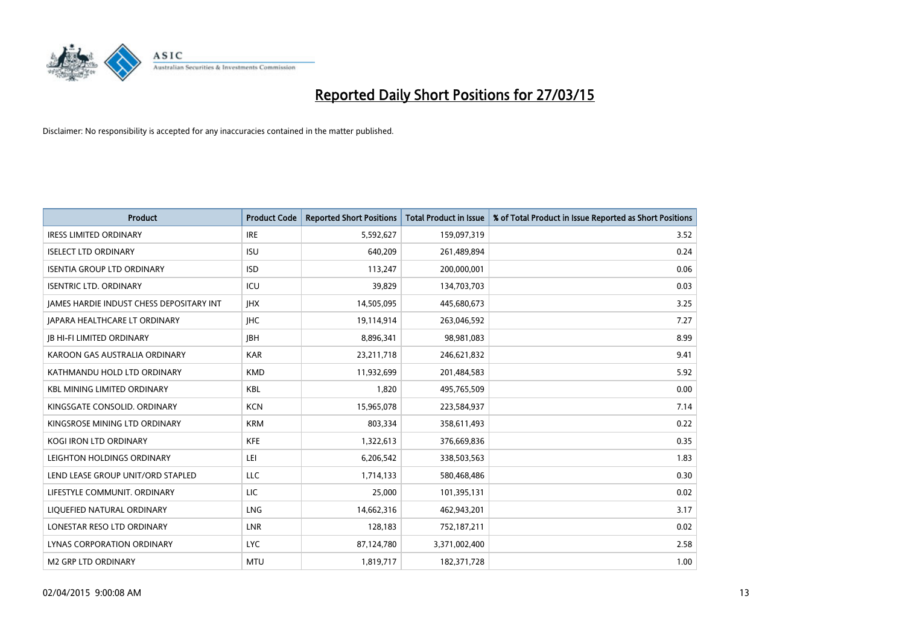

| <b>Product</b>                                  | <b>Product Code</b> | <b>Reported Short Positions</b> | <b>Total Product in Issue</b> | % of Total Product in Issue Reported as Short Positions |
|-------------------------------------------------|---------------------|---------------------------------|-------------------------------|---------------------------------------------------------|
| <b>IRESS LIMITED ORDINARY</b>                   | <b>IRE</b>          | 5,592,627                       | 159,097,319                   | 3.52                                                    |
| <b>ISELECT LTD ORDINARY</b>                     | <b>ISU</b>          | 640,209                         | 261,489,894                   | 0.24                                                    |
| <b>ISENTIA GROUP LTD ORDINARY</b>               | <b>ISD</b>          | 113,247                         | 200,000,001                   | 0.06                                                    |
| <b>ISENTRIC LTD. ORDINARY</b>                   | ICU                 | 39,829                          | 134,703,703                   | 0.03                                                    |
| <b>IAMES HARDIE INDUST CHESS DEPOSITARY INT</b> | <b>IHX</b>          | 14,505,095                      | 445,680,673                   | 3.25                                                    |
| <b>JAPARA HEALTHCARE LT ORDINARY</b>            | <b>IHC</b>          | 19,114,914                      | 263,046,592                   | 7.27                                                    |
| <b>JB HI-FI LIMITED ORDINARY</b>                | <b>IBH</b>          | 8,896,341                       | 98,981,083                    | 8.99                                                    |
| KAROON GAS AUSTRALIA ORDINARY                   | <b>KAR</b>          | 23,211,718                      | 246,621,832                   | 9.41                                                    |
| KATHMANDU HOLD LTD ORDINARY                     | <b>KMD</b>          | 11,932,699                      | 201,484,583                   | 5.92                                                    |
| <b>KBL MINING LIMITED ORDINARY</b>              | <b>KBL</b>          | 1,820                           | 495,765,509                   | 0.00                                                    |
| KINGSGATE CONSOLID. ORDINARY                    | <b>KCN</b>          | 15,965,078                      | 223,584,937                   | 7.14                                                    |
| KINGSROSE MINING LTD ORDINARY                   | <b>KRM</b>          | 803,334                         | 358,611,493                   | 0.22                                                    |
| KOGI IRON LTD ORDINARY                          | <b>KFE</b>          | 1,322,613                       | 376,669,836                   | 0.35                                                    |
| LEIGHTON HOLDINGS ORDINARY                      | LEI                 | 6,206,542                       | 338,503,563                   | 1.83                                                    |
| LEND LEASE GROUP UNIT/ORD STAPLED               | <b>LLC</b>          | 1,714,133                       | 580,468,486                   | 0.30                                                    |
| LIFESTYLE COMMUNIT. ORDINARY                    | LIC                 | 25,000                          | 101,395,131                   | 0.02                                                    |
| LIQUEFIED NATURAL ORDINARY                      | LNG                 | 14,662,316                      | 462,943,201                   | 3.17                                                    |
| LONESTAR RESO LTD ORDINARY                      | <b>LNR</b>          | 128,183                         | 752,187,211                   | 0.02                                                    |
| LYNAS CORPORATION ORDINARY                      | <b>LYC</b>          | 87,124,780                      | 3,371,002,400                 | 2.58                                                    |
| <b>M2 GRP LTD ORDINARY</b>                      | <b>MTU</b>          | 1,819,717                       | 182,371,728                   | 1.00                                                    |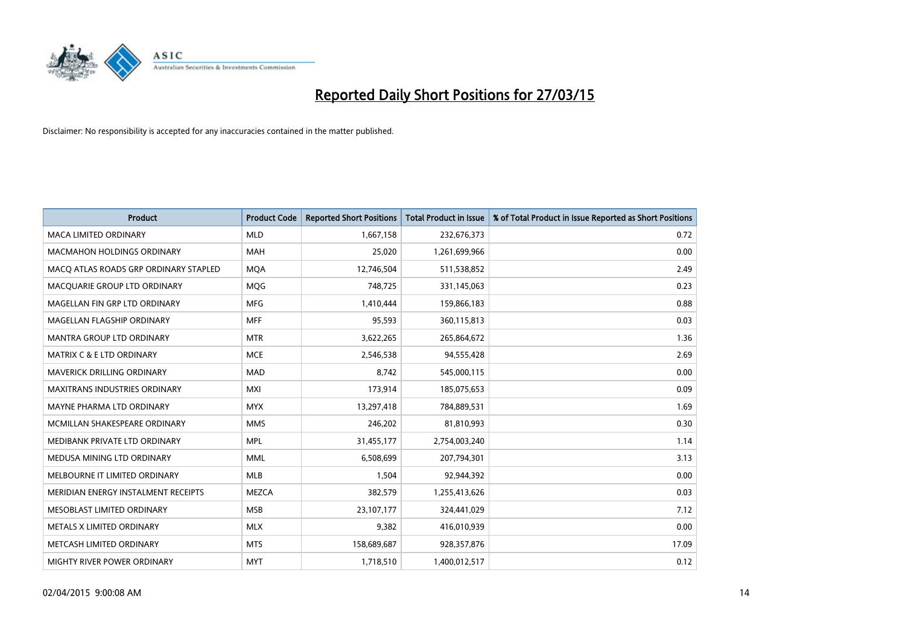

| <b>Product</b>                        | <b>Product Code</b> | <b>Reported Short Positions</b> | <b>Total Product in Issue</b> | % of Total Product in Issue Reported as Short Positions |
|---------------------------------------|---------------------|---------------------------------|-------------------------------|---------------------------------------------------------|
| <b>MACA LIMITED ORDINARY</b>          | <b>MLD</b>          | 1,667,158                       | 232,676,373                   | 0.72                                                    |
| <b>MACMAHON HOLDINGS ORDINARY</b>     | <b>MAH</b>          | 25,020                          | 1,261,699,966                 | 0.00                                                    |
| MACO ATLAS ROADS GRP ORDINARY STAPLED | <b>MOA</b>          | 12,746,504                      | 511,538,852                   | 2.49                                                    |
| MACQUARIE GROUP LTD ORDINARY          | <b>MOG</b>          | 748,725                         | 331,145,063                   | 0.23                                                    |
| MAGELLAN FIN GRP LTD ORDINARY         | <b>MFG</b>          | 1,410,444                       | 159,866,183                   | 0.88                                                    |
| MAGELLAN FLAGSHIP ORDINARY            | <b>MFF</b>          | 95,593                          | 360,115,813                   | 0.03                                                    |
| MANTRA GROUP LTD ORDINARY             | <b>MTR</b>          | 3,622,265                       | 265,864,672                   | 1.36                                                    |
| MATRIX C & E LTD ORDINARY             | <b>MCE</b>          | 2,546,538                       | 94,555,428                    | 2.69                                                    |
| <b>MAVERICK DRILLING ORDINARY</b>     | <b>MAD</b>          | 8.742                           | 545,000,115                   | 0.00                                                    |
| <b>MAXITRANS INDUSTRIES ORDINARY</b>  | <b>MXI</b>          | 173,914                         | 185,075,653                   | 0.09                                                    |
| MAYNE PHARMA LTD ORDINARY             | <b>MYX</b>          | 13,297,418                      | 784,889,531                   | 1.69                                                    |
| MCMILLAN SHAKESPEARE ORDINARY         | <b>MMS</b>          | 246,202                         | 81,810,993                    | 0.30                                                    |
| MEDIBANK PRIVATE LTD ORDINARY         | <b>MPL</b>          | 31,455,177                      | 2,754,003,240                 | 1.14                                                    |
| MEDUSA MINING LTD ORDINARY            | <b>MML</b>          | 6,508,699                       | 207,794,301                   | 3.13                                                    |
| MELBOURNE IT LIMITED ORDINARY         | <b>MLB</b>          | 1,504                           | 92,944,392                    | 0.00                                                    |
| MERIDIAN ENERGY INSTALMENT RECEIPTS   | <b>MEZCA</b>        | 382,579                         | 1,255,413,626                 | 0.03                                                    |
| MESOBLAST LIMITED ORDINARY            | <b>MSB</b>          | 23,107,177                      | 324,441,029                   | 7.12                                                    |
| METALS X LIMITED ORDINARY             | <b>MLX</b>          | 9,382                           | 416,010,939                   | 0.00                                                    |
| METCASH LIMITED ORDINARY              | <b>MTS</b>          | 158,689,687                     | 928,357,876                   | 17.09                                                   |
| MIGHTY RIVER POWER ORDINARY           | <b>MYT</b>          | 1,718,510                       | 1,400,012,517                 | 0.12                                                    |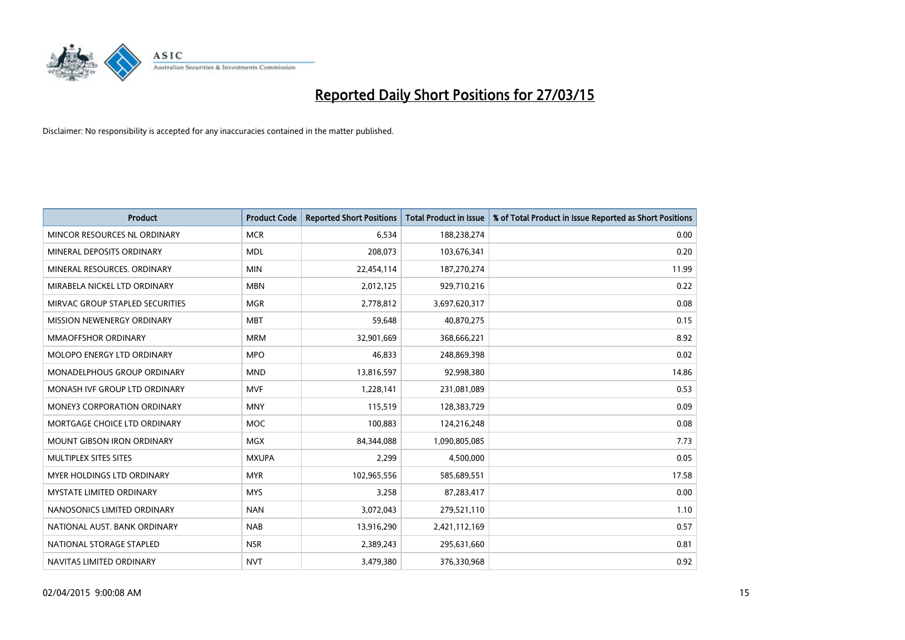

| <b>Product</b>                     | <b>Product Code</b> | <b>Reported Short Positions</b> | <b>Total Product in Issue</b> | % of Total Product in Issue Reported as Short Positions |
|------------------------------------|---------------------|---------------------------------|-------------------------------|---------------------------------------------------------|
| MINCOR RESOURCES NL ORDINARY       | <b>MCR</b>          | 6,534                           | 188,238,274                   | 0.00                                                    |
| MINERAL DEPOSITS ORDINARY          | <b>MDL</b>          | 208,073                         | 103,676,341                   | 0.20                                                    |
| MINERAL RESOURCES, ORDINARY        | <b>MIN</b>          | 22,454,114                      | 187,270,274                   | 11.99                                                   |
| MIRABELA NICKEL LTD ORDINARY       | <b>MBN</b>          | 2,012,125                       | 929,710,216                   | 0.22                                                    |
| MIRVAC GROUP STAPLED SECURITIES    | <b>MGR</b>          | 2,778,812                       | 3,697,620,317                 | 0.08                                                    |
| MISSION NEWENERGY ORDINARY         | <b>MBT</b>          | 59,648                          | 40,870,275                    | 0.15                                                    |
| <b>MMAOFFSHOR ORDINARY</b>         | <b>MRM</b>          | 32,901,669                      | 368,666,221                   | 8.92                                                    |
| MOLOPO ENERGY LTD ORDINARY         | <b>MPO</b>          | 46,833                          | 248,869,398                   | 0.02                                                    |
| <b>MONADELPHOUS GROUP ORDINARY</b> | <b>MND</b>          | 13,816,597                      | 92,998,380                    | 14.86                                                   |
| MONASH IVF GROUP LTD ORDINARY      | MVF                 | 1,228,141                       | 231,081,089                   | 0.53                                                    |
| MONEY3 CORPORATION ORDINARY        | <b>MNY</b>          | 115,519                         | 128,383,729                   | 0.09                                                    |
| MORTGAGE CHOICE LTD ORDINARY       | <b>MOC</b>          | 100,883                         | 124,216,248                   | 0.08                                                    |
| MOUNT GIBSON IRON ORDINARY         | MGX                 | 84,344,088                      | 1,090,805,085                 | 7.73                                                    |
| MULTIPLEX SITES SITES              | <b>MXUPA</b>        | 2,299                           | 4,500,000                     | 0.05                                                    |
| <b>MYER HOLDINGS LTD ORDINARY</b>  | <b>MYR</b>          | 102,965,556                     | 585,689,551                   | 17.58                                                   |
| MYSTATE LIMITED ORDINARY           | <b>MYS</b>          | 3,258                           | 87,283,417                    | 0.00                                                    |
| NANOSONICS LIMITED ORDINARY        | <b>NAN</b>          | 3,072,043                       | 279,521,110                   | 1.10                                                    |
| NATIONAL AUST, BANK ORDINARY       | <b>NAB</b>          | 13,916,290                      | 2,421,112,169                 | 0.57                                                    |
| NATIONAL STORAGE STAPLED           | <b>NSR</b>          | 2,389,243                       | 295,631,660                   | 0.81                                                    |
| NAVITAS LIMITED ORDINARY           | <b>NVT</b>          | 3,479,380                       | 376,330,968                   | 0.92                                                    |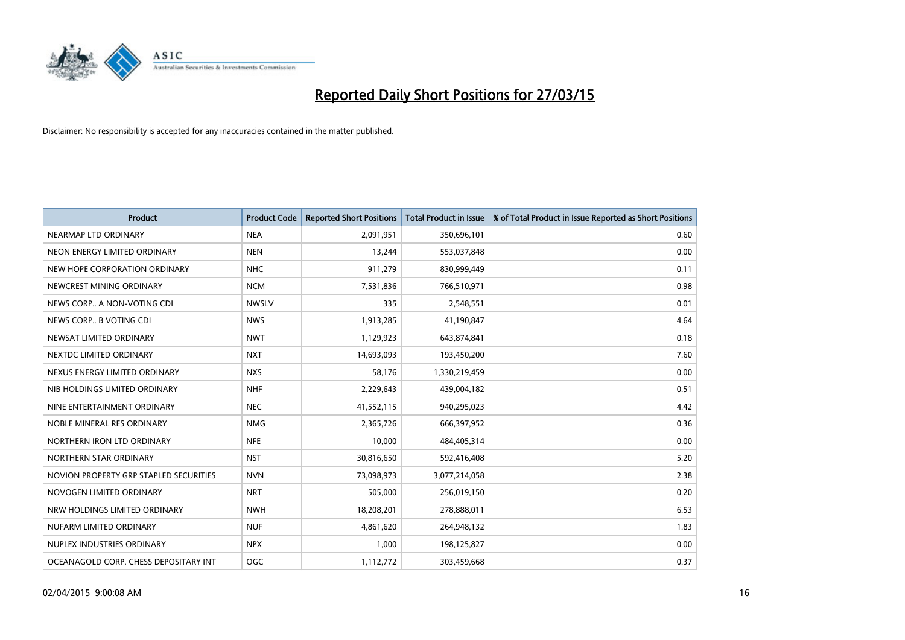

| <b>Product</b>                         | <b>Product Code</b> | <b>Reported Short Positions</b> | <b>Total Product in Issue</b> | % of Total Product in Issue Reported as Short Positions |
|----------------------------------------|---------------------|---------------------------------|-------------------------------|---------------------------------------------------------|
| NEARMAP LTD ORDINARY                   | <b>NEA</b>          | 2,091,951                       | 350,696,101                   | 0.60                                                    |
| NEON ENERGY LIMITED ORDINARY           | <b>NEN</b>          | 13,244                          | 553,037,848                   | 0.00                                                    |
| NEW HOPE CORPORATION ORDINARY          | <b>NHC</b>          | 911,279                         | 830,999,449                   | 0.11                                                    |
| NEWCREST MINING ORDINARY               | <b>NCM</b>          | 7,531,836                       | 766,510,971                   | 0.98                                                    |
| NEWS CORP A NON-VOTING CDI             | <b>NWSLV</b>        | 335                             | 2,548,551                     | 0.01                                                    |
| NEWS CORP B VOTING CDI                 | <b>NWS</b>          | 1,913,285                       | 41,190,847                    | 4.64                                                    |
| NEWSAT LIMITED ORDINARY                | <b>NWT</b>          | 1,129,923                       | 643,874,841                   | 0.18                                                    |
| NEXTDC LIMITED ORDINARY                | <b>NXT</b>          | 14,693,093                      | 193,450,200                   | 7.60                                                    |
| NEXUS ENERGY LIMITED ORDINARY          | <b>NXS</b>          | 58,176                          | 1,330,219,459                 | 0.00                                                    |
| NIB HOLDINGS LIMITED ORDINARY          | <b>NHF</b>          | 2,229,643                       | 439,004,182                   | 0.51                                                    |
| NINE ENTERTAINMENT ORDINARY            | <b>NEC</b>          | 41,552,115                      | 940,295,023                   | 4.42                                                    |
| NOBLE MINERAL RES ORDINARY             | <b>NMG</b>          | 2,365,726                       | 666,397,952                   | 0.36                                                    |
| NORTHERN IRON LTD ORDINARY             | <b>NFE</b>          | 10,000                          | 484,405,314                   | 0.00                                                    |
| NORTHERN STAR ORDINARY                 | <b>NST</b>          | 30,816,650                      | 592,416,408                   | 5.20                                                    |
| NOVION PROPERTY GRP STAPLED SECURITIES | <b>NVN</b>          | 73,098,973                      | 3,077,214,058                 | 2.38                                                    |
| NOVOGEN LIMITED ORDINARY               | <b>NRT</b>          | 505,000                         | 256,019,150                   | 0.20                                                    |
| NRW HOLDINGS LIMITED ORDINARY          | <b>NWH</b>          | 18,208,201                      | 278,888,011                   | 6.53                                                    |
| NUFARM LIMITED ORDINARY                | <b>NUF</b>          | 4,861,620                       | 264,948,132                   | 1.83                                                    |
| NUPLEX INDUSTRIES ORDINARY             | <b>NPX</b>          | 1,000                           | 198,125,827                   | 0.00                                                    |
| OCEANAGOLD CORP. CHESS DEPOSITARY INT  | <b>OGC</b>          | 1,112,772                       | 303,459,668                   | 0.37                                                    |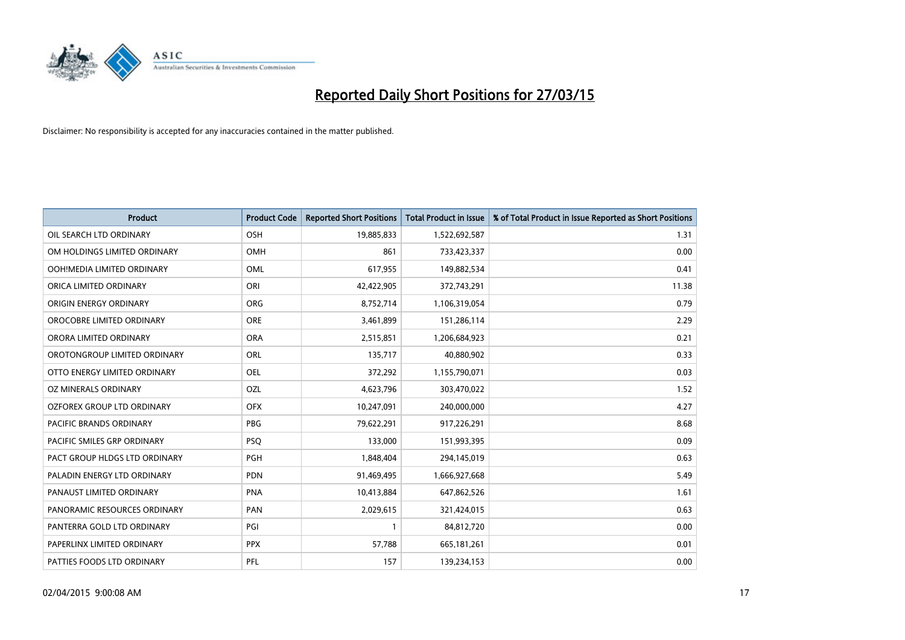

| <b>Product</b>                    | <b>Product Code</b> | <b>Reported Short Positions</b> | <b>Total Product in Issue</b> | % of Total Product in Issue Reported as Short Positions |
|-----------------------------------|---------------------|---------------------------------|-------------------------------|---------------------------------------------------------|
| OIL SEARCH LTD ORDINARY           | OSH                 | 19,885,833                      | 1,522,692,587                 | 1.31                                                    |
| OM HOLDINGS LIMITED ORDINARY      | OMH                 | 861                             | 733,423,337                   | 0.00                                                    |
| OOH!MEDIA LIMITED ORDINARY        | <b>OML</b>          | 617,955                         | 149,882,534                   | 0.41                                                    |
| ORICA LIMITED ORDINARY            | ORI                 | 42,422,905                      | 372,743,291                   | 11.38                                                   |
| ORIGIN ENERGY ORDINARY            | <b>ORG</b>          | 8,752,714                       | 1,106,319,054                 | 0.79                                                    |
| OROCOBRE LIMITED ORDINARY         | <b>ORE</b>          | 3,461,899                       | 151,286,114                   | 2.29                                                    |
| ORORA LIMITED ORDINARY            | <b>ORA</b>          | 2,515,851                       | 1,206,684,923                 | 0.21                                                    |
| OROTONGROUP LIMITED ORDINARY      | ORL                 | 135,717                         | 40,880,902                    | 0.33                                                    |
| OTTO ENERGY LIMITED ORDINARY      | OEL                 | 372,292                         | 1,155,790,071                 | 0.03                                                    |
| <b>OZ MINERALS ORDINARY</b>       | OZL                 | 4,623,796                       | 303,470,022                   | 1.52                                                    |
| <b>OZFOREX GROUP LTD ORDINARY</b> | <b>OFX</b>          | 10,247,091                      | 240,000,000                   | 4.27                                                    |
| PACIFIC BRANDS ORDINARY           | <b>PBG</b>          | 79,622,291                      | 917,226,291                   | 8.68                                                    |
| PACIFIC SMILES GRP ORDINARY       | <b>PSQ</b>          | 133,000                         | 151,993,395                   | 0.09                                                    |
| PACT GROUP HLDGS LTD ORDINARY     | PGH                 | 1,848,404                       | 294,145,019                   | 0.63                                                    |
| PALADIN ENERGY LTD ORDINARY       | <b>PDN</b>          | 91,469,495                      | 1,666,927,668                 | 5.49                                                    |
| PANAUST LIMITED ORDINARY          | <b>PNA</b>          | 10,413,884                      | 647,862,526                   | 1.61                                                    |
| PANORAMIC RESOURCES ORDINARY      | PAN                 | 2,029,615                       | 321,424,015                   | 0.63                                                    |
| PANTERRA GOLD LTD ORDINARY        | PGI                 | 1                               | 84,812,720                    | 0.00                                                    |
| PAPERLINX LIMITED ORDINARY        | <b>PPX</b>          | 57,788                          | 665, 181, 261                 | 0.01                                                    |
| PATTIES FOODS LTD ORDINARY        | PFL                 | 157                             | 139,234,153                   | 0.00                                                    |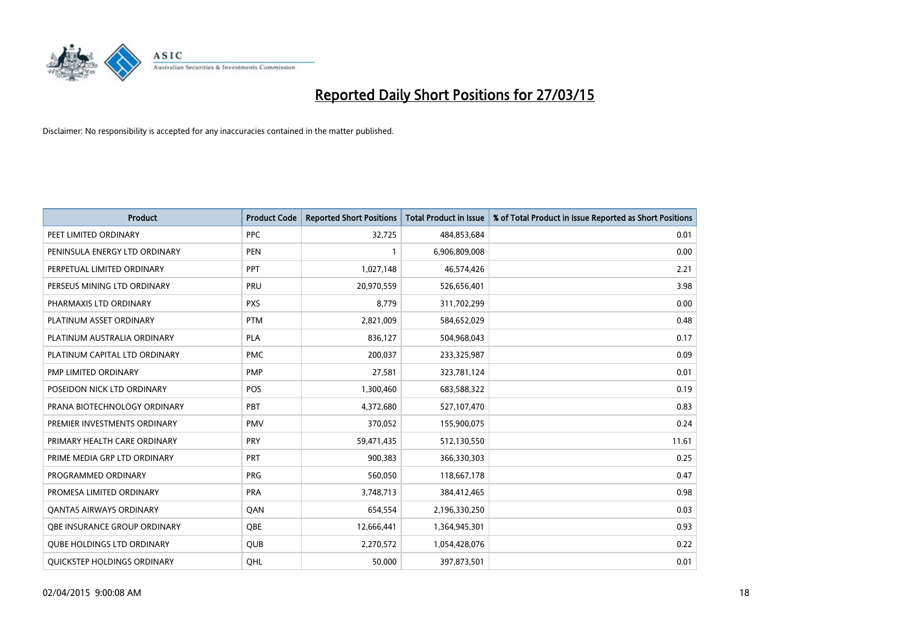

| <b>Product</b>                    | <b>Product Code</b> | <b>Reported Short Positions</b> | <b>Total Product in Issue</b> | % of Total Product in Issue Reported as Short Positions |
|-----------------------------------|---------------------|---------------------------------|-------------------------------|---------------------------------------------------------|
| PEET LIMITED ORDINARY             | <b>PPC</b>          | 32,725                          | 484,853,684                   | 0.01                                                    |
| PENINSULA ENERGY LTD ORDINARY     | <b>PEN</b>          |                                 | 6,906,809,008                 | 0.00                                                    |
| PERPETUAL LIMITED ORDINARY        | PPT                 | 1,027,148                       | 46,574,426                    | 2.21                                                    |
| PERSEUS MINING LTD ORDINARY       | PRU                 | 20,970,559                      | 526,656,401                   | 3.98                                                    |
| PHARMAXIS LTD ORDINARY            | <b>PXS</b>          | 8,779                           | 311,702,299                   | 0.00                                                    |
| PLATINUM ASSET ORDINARY           | <b>PTM</b>          | 2,821,009                       | 584,652,029                   | 0.48                                                    |
| PLATINUM AUSTRALIA ORDINARY       | <b>PLA</b>          | 836,127                         | 504,968,043                   | 0.17                                                    |
| PLATINUM CAPITAL LTD ORDINARY     | <b>PMC</b>          | 200,037                         | 233,325,987                   | 0.09                                                    |
| PMP LIMITED ORDINARY              | <b>PMP</b>          | 27,581                          | 323,781,124                   | 0.01                                                    |
| POSEIDON NICK LTD ORDINARY        | <b>POS</b>          | 1,300,460                       | 683,588,322                   | 0.19                                                    |
| PRANA BIOTECHNOLOGY ORDINARY      | PBT                 | 4,372,680                       | 527,107,470                   | 0.83                                                    |
| PREMIER INVESTMENTS ORDINARY      | <b>PMV</b>          | 370,052                         | 155,900,075                   | 0.24                                                    |
| PRIMARY HEALTH CARE ORDINARY      | <b>PRY</b>          | 59,471,435                      | 512,130,550                   | 11.61                                                   |
| PRIME MEDIA GRP LTD ORDINARY      | <b>PRT</b>          | 900,383                         | 366,330,303                   | 0.25                                                    |
| PROGRAMMED ORDINARY               | <b>PRG</b>          | 560,050                         | 118,667,178                   | 0.47                                                    |
| PROMESA LIMITED ORDINARY          | <b>PRA</b>          | 3,748,713                       | 384,412,465                   | 0.98                                                    |
| <b>QANTAS AIRWAYS ORDINARY</b>    | QAN                 | 654,554                         | 2,196,330,250                 | 0.03                                                    |
| OBE INSURANCE GROUP ORDINARY      | <b>OBE</b>          | 12,666,441                      | 1,364,945,301                 | 0.93                                                    |
| <b>QUBE HOLDINGS LTD ORDINARY</b> | QUB                 | 2,270,572                       | 1,054,428,076                 | 0.22                                                    |
| QUICKSTEP HOLDINGS ORDINARY       | QHL                 | 50,000                          | 397,873,501                   | 0.01                                                    |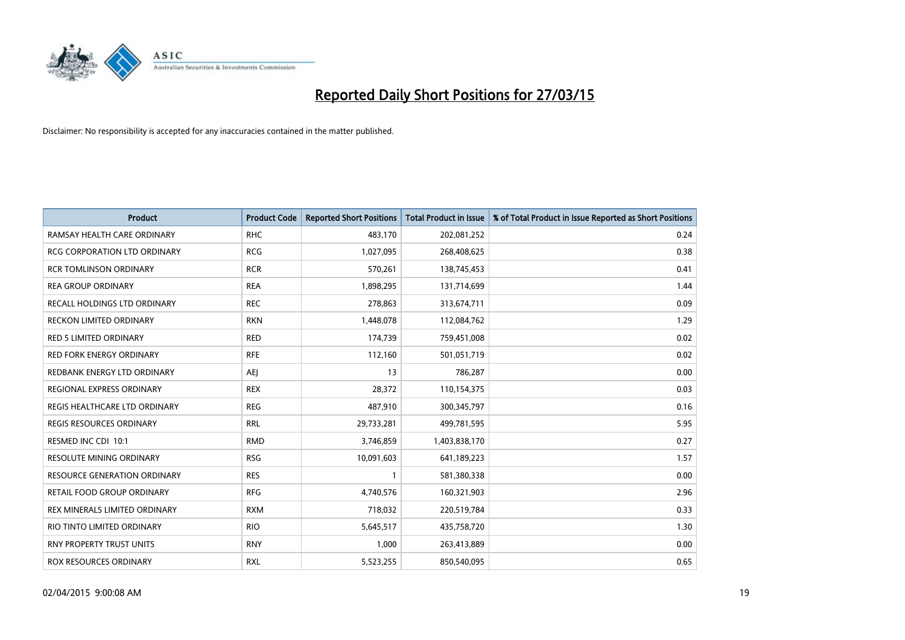

| <b>Product</b>                      | <b>Product Code</b> | <b>Reported Short Positions</b> | <b>Total Product in Issue</b> | % of Total Product in Issue Reported as Short Positions |
|-------------------------------------|---------------------|---------------------------------|-------------------------------|---------------------------------------------------------|
| RAMSAY HEALTH CARE ORDINARY         | <b>RHC</b>          | 483,170                         | 202,081,252                   | 0.24                                                    |
| RCG CORPORATION LTD ORDINARY        | <b>RCG</b>          | 1,027,095                       | 268,408,625                   | 0.38                                                    |
| <b>RCR TOMLINSON ORDINARY</b>       | <b>RCR</b>          | 570,261                         | 138,745,453                   | 0.41                                                    |
| <b>REA GROUP ORDINARY</b>           | <b>REA</b>          | 1,898,295                       | 131,714,699                   | 1.44                                                    |
| RECALL HOLDINGS LTD ORDINARY        | <b>REC</b>          | 278,863                         | 313,674,711                   | 0.09                                                    |
| <b>RECKON LIMITED ORDINARY</b>      | <b>RKN</b>          | 1,448,078                       | 112,084,762                   | 1.29                                                    |
| <b>RED 5 LIMITED ORDINARY</b>       | <b>RED</b>          | 174,739                         | 759,451,008                   | 0.02                                                    |
| RED FORK ENERGY ORDINARY            | <b>RFE</b>          | 112,160                         | 501,051,719                   | 0.02                                                    |
| REDBANK ENERGY LTD ORDINARY         | <b>AEI</b>          | 13                              | 786,287                       | 0.00                                                    |
| <b>REGIONAL EXPRESS ORDINARY</b>    | <b>REX</b>          | 28,372                          | 110,154,375                   | 0.03                                                    |
| REGIS HEALTHCARE LTD ORDINARY       | <b>REG</b>          | 487,910                         | 300, 345, 797                 | 0.16                                                    |
| <b>REGIS RESOURCES ORDINARY</b>     | <b>RRL</b>          | 29,733,281                      | 499,781,595                   | 5.95                                                    |
| RESMED INC CDI 10:1                 | <b>RMD</b>          | 3,746,859                       | 1,403,838,170                 | 0.27                                                    |
| RESOLUTE MINING ORDINARY            | <b>RSG</b>          | 10,091,603                      | 641,189,223                   | 1.57                                                    |
| <b>RESOURCE GENERATION ORDINARY</b> | <b>RES</b>          | 1                               | 581,380,338                   | 0.00                                                    |
| RETAIL FOOD GROUP ORDINARY          | <b>RFG</b>          | 4,740,576                       | 160,321,903                   | 2.96                                                    |
| REX MINERALS LIMITED ORDINARY       | <b>RXM</b>          | 718,032                         | 220,519,784                   | 0.33                                                    |
| RIO TINTO LIMITED ORDINARY          | <b>RIO</b>          | 5,645,517                       | 435,758,720                   | 1.30                                                    |
| <b>RNY PROPERTY TRUST UNITS</b>     | <b>RNY</b>          | 1,000                           | 263,413,889                   | 0.00                                                    |
| ROX RESOURCES ORDINARY              | <b>RXL</b>          | 5,523,255                       | 850,540,095                   | 0.65                                                    |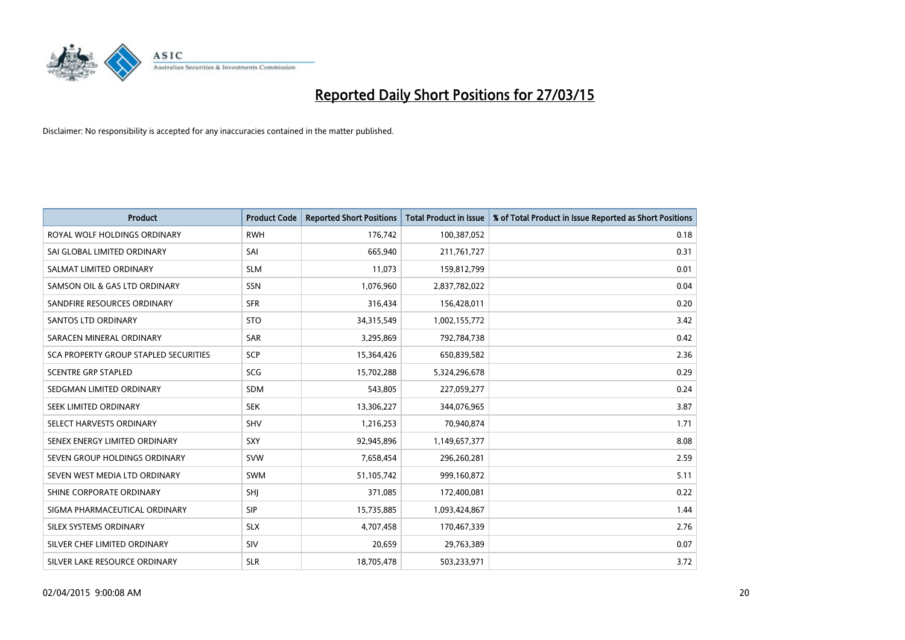

| <b>Product</b>                        | <b>Product Code</b> | <b>Reported Short Positions</b> | <b>Total Product in Issue</b> | % of Total Product in Issue Reported as Short Positions |
|---------------------------------------|---------------------|---------------------------------|-------------------------------|---------------------------------------------------------|
| ROYAL WOLF HOLDINGS ORDINARY          | <b>RWH</b>          | 176,742                         | 100,387,052                   | 0.18                                                    |
| SAI GLOBAL LIMITED ORDINARY           | SAI                 | 665,940                         | 211,761,727                   | 0.31                                                    |
| SALMAT LIMITED ORDINARY               | <b>SLM</b>          | 11,073                          | 159,812,799                   | 0.01                                                    |
| SAMSON OIL & GAS LTD ORDINARY         | SSN                 | 1,076,960                       | 2,837,782,022                 | 0.04                                                    |
| SANDFIRE RESOURCES ORDINARY           | <b>SFR</b>          | 316,434                         | 156,428,011                   | 0.20                                                    |
| SANTOS LTD ORDINARY                   | <b>STO</b>          | 34,315,549                      | 1,002,155,772                 | 3.42                                                    |
| SARACEN MINERAL ORDINARY              | <b>SAR</b>          | 3,295,869                       | 792,784,738                   | 0.42                                                    |
| SCA PROPERTY GROUP STAPLED SECURITIES | SCP                 | 15,364,426                      | 650,839,582                   | 2.36                                                    |
| <b>SCENTRE GRP STAPLED</b>            | SCG                 | 15,702,288                      | 5,324,296,678                 | 0.29                                                    |
| SEDGMAN LIMITED ORDINARY              | <b>SDM</b>          | 543,805                         | 227,059,277                   | 0.24                                                    |
| SEEK LIMITED ORDINARY                 | <b>SEK</b>          | 13,306,227                      | 344,076,965                   | 3.87                                                    |
| SELECT HARVESTS ORDINARY              | <b>SHV</b>          | 1,216,253                       | 70,940,874                    | 1.71                                                    |
| SENEX ENERGY LIMITED ORDINARY         | <b>SXY</b>          | 92,945,896                      | 1,149,657,377                 | 8.08                                                    |
| SEVEN GROUP HOLDINGS ORDINARY         | <b>SVW</b>          | 7,658,454                       | 296,260,281                   | 2.59                                                    |
| SEVEN WEST MEDIA LTD ORDINARY         | <b>SWM</b>          | 51,105,742                      | 999,160,872                   | 5.11                                                    |
| SHINE CORPORATE ORDINARY              | SHJ                 | 371,085                         | 172,400,081                   | 0.22                                                    |
| SIGMA PHARMACEUTICAL ORDINARY         | <b>SIP</b>          | 15,735,885                      | 1,093,424,867                 | 1.44                                                    |
| SILEX SYSTEMS ORDINARY                | <b>SLX</b>          | 4,707,458                       | 170,467,339                   | 2.76                                                    |
| SILVER CHEF LIMITED ORDINARY          | SIV                 | 20,659                          | 29,763,389                    | 0.07                                                    |
| SILVER LAKE RESOURCE ORDINARY         | <b>SLR</b>          | 18,705,478                      | 503,233,971                   | 3.72                                                    |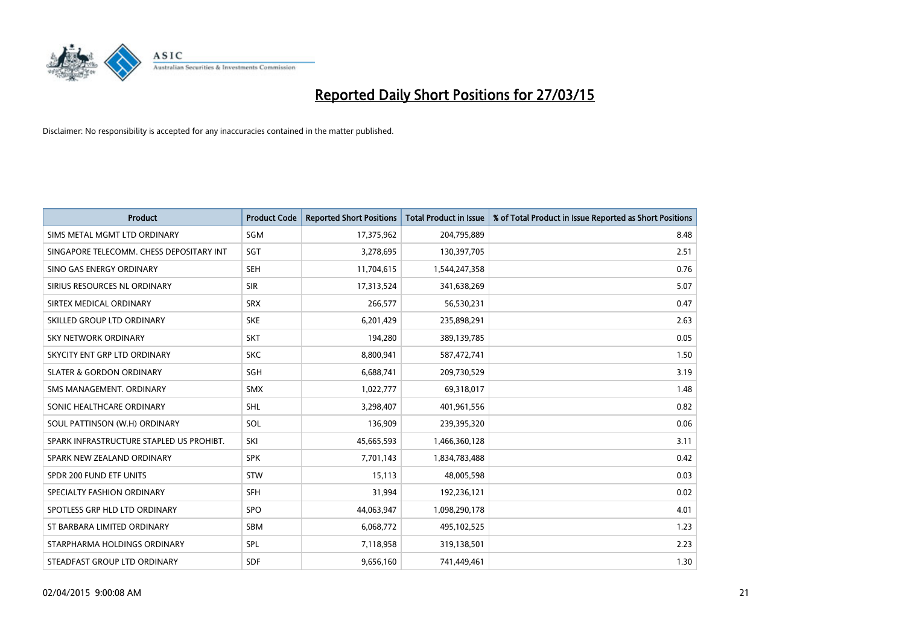

| <b>Product</b>                           | <b>Product Code</b> | <b>Reported Short Positions</b> | <b>Total Product in Issue</b> | % of Total Product in Issue Reported as Short Positions |
|------------------------------------------|---------------------|---------------------------------|-------------------------------|---------------------------------------------------------|
| SIMS METAL MGMT LTD ORDINARY             | SGM                 | 17,375,962                      | 204,795,889                   | 8.48                                                    |
| SINGAPORE TELECOMM. CHESS DEPOSITARY INT | <b>SGT</b>          | 3,278,695                       | 130,397,705                   | 2.51                                                    |
| SINO GAS ENERGY ORDINARY                 | <b>SEH</b>          | 11,704,615                      | 1,544,247,358                 | 0.76                                                    |
| SIRIUS RESOURCES NL ORDINARY             | <b>SIR</b>          | 17,313,524                      | 341,638,269                   | 5.07                                                    |
| SIRTEX MEDICAL ORDINARY                  | <b>SRX</b>          | 266,577                         | 56,530,231                    | 0.47                                                    |
| SKILLED GROUP LTD ORDINARY               | <b>SKE</b>          | 6,201,429                       | 235,898,291                   | 2.63                                                    |
| SKY NETWORK ORDINARY                     | <b>SKT</b>          | 194,280                         | 389,139,785                   | 0.05                                                    |
| SKYCITY ENT GRP LTD ORDINARY             | <b>SKC</b>          | 8,800,941                       | 587,472,741                   | 1.50                                                    |
| <b>SLATER &amp; GORDON ORDINARY</b>      | <b>SGH</b>          | 6,688,741                       | 209,730,529                   | 3.19                                                    |
| SMS MANAGEMENT, ORDINARY                 | <b>SMX</b>          | 1,022,777                       | 69,318,017                    | 1.48                                                    |
| SONIC HEALTHCARE ORDINARY                | <b>SHL</b>          | 3,298,407                       | 401,961,556                   | 0.82                                                    |
| SOUL PATTINSON (W.H) ORDINARY            | SOL                 | 136,909                         | 239,395,320                   | 0.06                                                    |
| SPARK INFRASTRUCTURE STAPLED US PROHIBT. | SKI                 | 45,665,593                      | 1,466,360,128                 | 3.11                                                    |
| SPARK NEW ZEALAND ORDINARY               | <b>SPK</b>          | 7,701,143                       | 1,834,783,488                 | 0.42                                                    |
| SPDR 200 FUND ETF UNITS                  | <b>STW</b>          | 15,113                          | 48,005,598                    | 0.03                                                    |
| SPECIALTY FASHION ORDINARY               | SFH                 | 31,994                          | 192,236,121                   | 0.02                                                    |
| SPOTLESS GRP HLD LTD ORDINARY            | SPO                 | 44,063,947                      | 1,098,290,178                 | 4.01                                                    |
| ST BARBARA LIMITED ORDINARY              | <b>SBM</b>          | 6,068,772                       | 495,102,525                   | 1.23                                                    |
| STARPHARMA HOLDINGS ORDINARY             | SPL                 | 7,118,958                       | 319,138,501                   | 2.23                                                    |
| STEADFAST GROUP LTD ORDINARY             | <b>SDF</b>          | 9,656,160                       | 741,449,461                   | 1.30                                                    |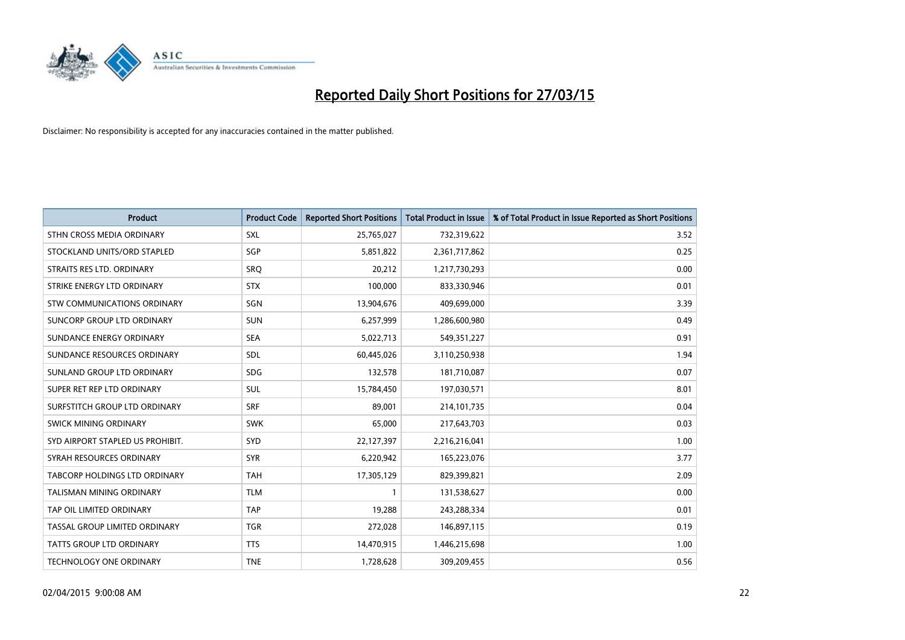

| <b>Product</b>                       | <b>Product Code</b> | <b>Reported Short Positions</b> | <b>Total Product in Issue</b> | % of Total Product in Issue Reported as Short Positions |
|--------------------------------------|---------------------|---------------------------------|-------------------------------|---------------------------------------------------------|
| STHN CROSS MEDIA ORDINARY            | <b>SXL</b>          | 25,765,027                      | 732,319,622                   | 3.52                                                    |
| STOCKLAND UNITS/ORD STAPLED          | SGP                 | 5,851,822                       | 2,361,717,862                 | 0.25                                                    |
| STRAITS RES LTD. ORDINARY            | <b>SRO</b>          | 20,212                          | 1,217,730,293                 | 0.00                                                    |
| STRIKE ENERGY LTD ORDINARY           | <b>STX</b>          | 100,000                         | 833,330,946                   | 0.01                                                    |
| STW COMMUNICATIONS ORDINARY          | SGN                 | 13,904,676                      | 409,699,000                   | 3.39                                                    |
| SUNCORP GROUP LTD ORDINARY           | <b>SUN</b>          | 6,257,999                       | 1,286,600,980                 | 0.49                                                    |
| SUNDANCE ENERGY ORDINARY             | <b>SEA</b>          | 5,022,713                       | 549,351,227                   | 0.91                                                    |
| SUNDANCE RESOURCES ORDINARY          | SDL                 | 60,445,026                      | 3,110,250,938                 | 1.94                                                    |
| SUNLAND GROUP LTD ORDINARY           | <b>SDG</b>          | 132,578                         | 181,710,087                   | 0.07                                                    |
| SUPER RET REP LTD ORDINARY           | <b>SUL</b>          | 15,784,450                      | 197,030,571                   | 8.01                                                    |
| SURFSTITCH GROUP LTD ORDINARY        | <b>SRF</b>          | 89,001                          | 214,101,735                   | 0.04                                                    |
| <b>SWICK MINING ORDINARY</b>         | <b>SWK</b>          | 65,000                          | 217,643,703                   | 0.03                                                    |
| SYD AIRPORT STAPLED US PROHIBIT.     | <b>SYD</b>          | 22,127,397                      | 2,216,216,041                 | 1.00                                                    |
| SYRAH RESOURCES ORDINARY             | <b>SYR</b>          | 6,220,942                       | 165,223,076                   | 3.77                                                    |
| <b>TABCORP HOLDINGS LTD ORDINARY</b> | <b>TAH</b>          | 17,305,129                      | 829,399,821                   | 2.09                                                    |
| <b>TALISMAN MINING ORDINARY</b>      | <b>TLM</b>          |                                 | 131,538,627                   | 0.00                                                    |
| TAP OIL LIMITED ORDINARY             | <b>TAP</b>          | 19,288                          | 243,288,334                   | 0.01                                                    |
| TASSAL GROUP LIMITED ORDINARY        | <b>TGR</b>          | 272,028                         | 146,897,115                   | 0.19                                                    |
| <b>TATTS GROUP LTD ORDINARY</b>      | <b>TTS</b>          | 14,470,915                      | 1,446,215,698                 | 1.00                                                    |
| <b>TECHNOLOGY ONE ORDINARY</b>       | <b>TNE</b>          | 1,728,628                       | 309,209,455                   | 0.56                                                    |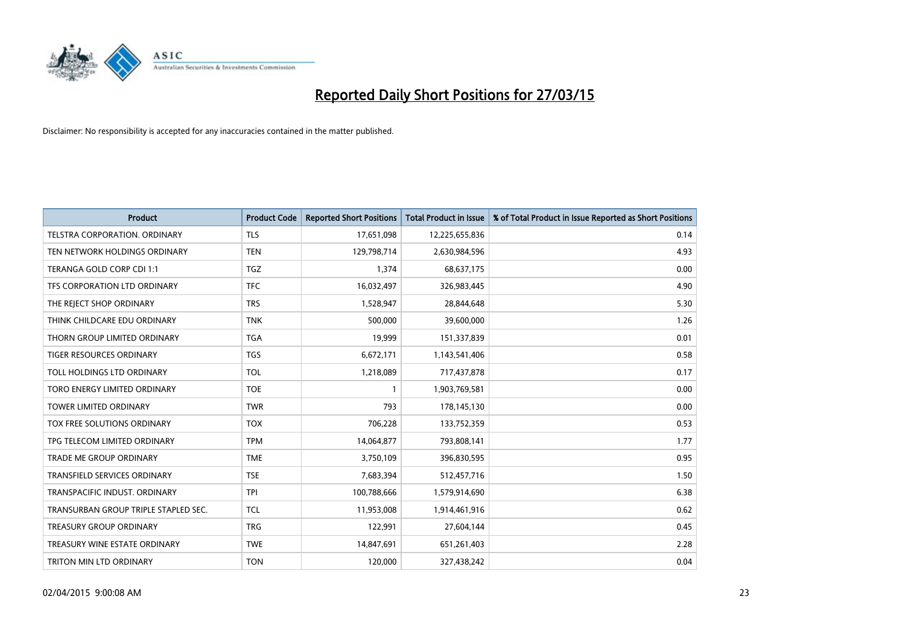

| <b>Product</b>                       | <b>Product Code</b> | <b>Reported Short Positions</b> | <b>Total Product in Issue</b> | % of Total Product in Issue Reported as Short Positions |
|--------------------------------------|---------------------|---------------------------------|-------------------------------|---------------------------------------------------------|
| <b>TELSTRA CORPORATION, ORDINARY</b> | <b>TLS</b>          | 17,651,098                      | 12,225,655,836                | 0.14                                                    |
| TEN NETWORK HOLDINGS ORDINARY        | <b>TEN</b>          | 129,798,714                     | 2,630,984,596                 | 4.93                                                    |
| TERANGA GOLD CORP CDI 1:1            | <b>TGZ</b>          | 1,374                           | 68,637,175                    | 0.00                                                    |
| TFS CORPORATION LTD ORDINARY         | <b>TFC</b>          | 16,032,497                      | 326,983,445                   | 4.90                                                    |
| THE REJECT SHOP ORDINARY             | <b>TRS</b>          | 1,528,947                       | 28,844,648                    | 5.30                                                    |
| THINK CHILDCARE EDU ORDINARY         | <b>TNK</b>          | 500,000                         | 39,600,000                    | 1.26                                                    |
| THORN GROUP LIMITED ORDINARY         | <b>TGA</b>          | 19,999                          | 151,337,839                   | 0.01                                                    |
| TIGER RESOURCES ORDINARY             | <b>TGS</b>          | 6,672,171                       | 1,143,541,406                 | 0.58                                                    |
| TOLL HOLDINGS LTD ORDINARY           | <b>TOL</b>          | 1,218,089                       | 717,437,878                   | 0.17                                                    |
| TORO ENERGY LIMITED ORDINARY         | <b>TOE</b>          | $\mathbf{1}$                    | 1,903,769,581                 | 0.00                                                    |
| TOWER LIMITED ORDINARY               | <b>TWR</b>          | 793                             | 178,145,130                   | 0.00                                                    |
| TOX FREE SOLUTIONS ORDINARY          | <b>TOX</b>          | 706,228                         | 133,752,359                   | 0.53                                                    |
| TPG TELECOM LIMITED ORDINARY         | <b>TPM</b>          | 14,064,877                      | 793,808,141                   | 1.77                                                    |
| <b>TRADE ME GROUP ORDINARY</b>       | <b>TME</b>          | 3,750,109                       | 396,830,595                   | 0.95                                                    |
| TRANSFIELD SERVICES ORDINARY         | <b>TSE</b>          | 7,683,394                       | 512,457,716                   | 1.50                                                    |
| TRANSPACIFIC INDUST, ORDINARY        | <b>TPI</b>          | 100,788,666                     | 1,579,914,690                 | 6.38                                                    |
| TRANSURBAN GROUP TRIPLE STAPLED SEC. | TCL                 | 11,953,008                      | 1,914,461,916                 | 0.62                                                    |
| <b>TREASURY GROUP ORDINARY</b>       | <b>TRG</b>          | 122,991                         | 27,604,144                    | 0.45                                                    |
| TREASURY WINE ESTATE ORDINARY        | <b>TWE</b>          | 14,847,691                      | 651,261,403                   | 2.28                                                    |
| TRITON MIN LTD ORDINARY              | <b>TON</b>          | 120,000                         | 327,438,242                   | 0.04                                                    |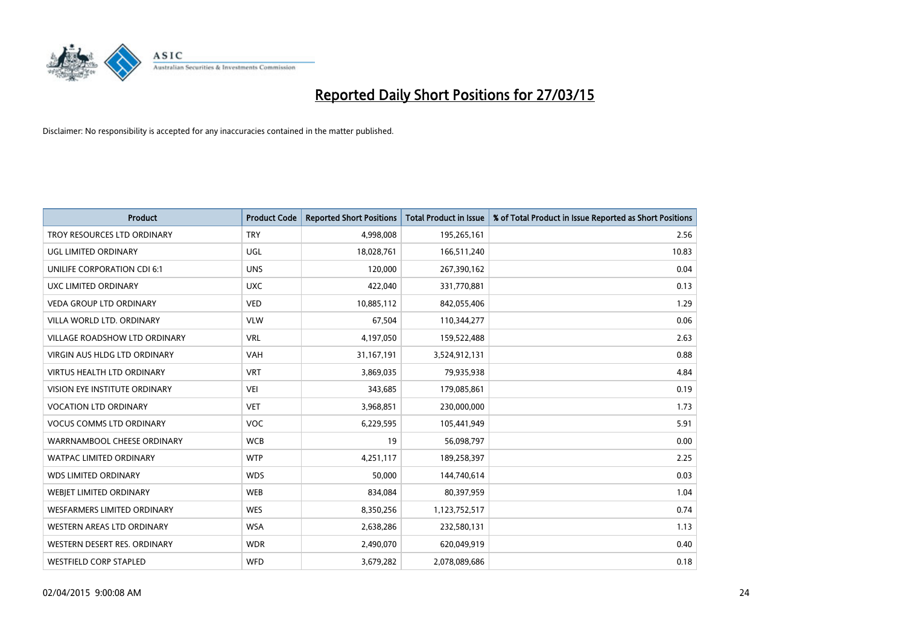

| <b>Product</b>                       | <b>Product Code</b> | <b>Reported Short Positions</b> | <b>Total Product in Issue</b> | % of Total Product in Issue Reported as Short Positions |
|--------------------------------------|---------------------|---------------------------------|-------------------------------|---------------------------------------------------------|
| TROY RESOURCES LTD ORDINARY          | <b>TRY</b>          | 4,998,008                       | 195,265,161                   | 2.56                                                    |
| UGL LIMITED ORDINARY                 | UGL                 | 18,028,761                      | 166,511,240                   | 10.83                                                   |
| UNILIFE CORPORATION CDI 6:1          | <b>UNS</b>          | 120,000                         | 267,390,162                   | 0.04                                                    |
| UXC LIMITED ORDINARY                 | <b>UXC</b>          | 422,040                         | 331,770,881                   | 0.13                                                    |
| <b>VEDA GROUP LTD ORDINARY</b>       | <b>VED</b>          | 10,885,112                      | 842,055,406                   | 1.29                                                    |
| VILLA WORLD LTD, ORDINARY            | <b>VLW</b>          | 67,504                          | 110,344,277                   | 0.06                                                    |
| <b>VILLAGE ROADSHOW LTD ORDINARY</b> | <b>VRL</b>          | 4,197,050                       | 159,522,488                   | 2.63                                                    |
| VIRGIN AUS HLDG LTD ORDINARY         | <b>VAH</b>          | 31,167,191                      | 3,524,912,131                 | 0.88                                                    |
| <b>VIRTUS HEALTH LTD ORDINARY</b>    | <b>VRT</b>          | 3,869,035                       | 79,935,938                    | 4.84                                                    |
| VISION EYE INSTITUTE ORDINARY        | <b>VEI</b>          | 343,685                         | 179,085,861                   | 0.19                                                    |
| <b>VOCATION LTD ORDINARY</b>         | <b>VET</b>          | 3,968,851                       | 230,000,000                   | 1.73                                                    |
| <b>VOCUS COMMS LTD ORDINARY</b>      | <b>VOC</b>          | 6,229,595                       | 105,441,949                   | 5.91                                                    |
| WARRNAMBOOL CHEESE ORDINARY          | <b>WCB</b>          | 19                              | 56,098,797                    | 0.00                                                    |
| <b>WATPAC LIMITED ORDINARY</b>       | <b>WTP</b>          | 4,251,117                       | 189,258,397                   | 2.25                                                    |
| <b>WDS LIMITED ORDINARY</b>          | <b>WDS</b>          | 50,000                          | 144,740,614                   | 0.03                                                    |
| WEBJET LIMITED ORDINARY              | <b>WEB</b>          | 834,084                         | 80,397,959                    | 1.04                                                    |
| WESFARMERS LIMITED ORDINARY          | <b>WES</b>          | 8,350,256                       | 1,123,752,517                 | 0.74                                                    |
| WESTERN AREAS LTD ORDINARY           | <b>WSA</b>          | 2,638,286                       | 232,580,131                   | 1.13                                                    |
| WESTERN DESERT RES. ORDINARY         | <b>WDR</b>          | 2,490,070                       | 620,049,919                   | 0.40                                                    |
| <b>WESTFIELD CORP STAPLED</b>        | <b>WFD</b>          | 3,679,282                       | 2,078,089,686                 | 0.18                                                    |